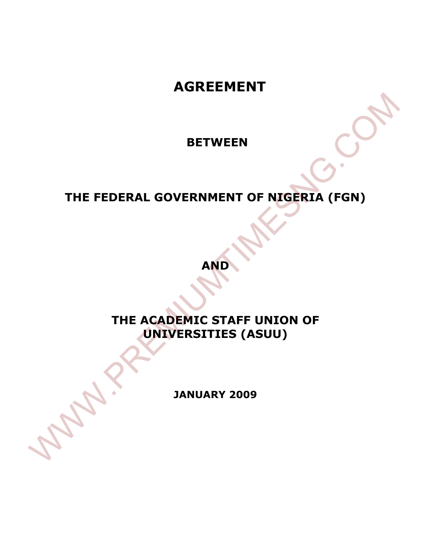# **AGREEMENT**

 **BETWEEN** 

# **THE FEDERAL GOVERNMENT OF NIGERIA (FGN)**

**AND**

# **THE ACADEMIC STAFF UNION OF UNIVERSITIES (ASUU)**  BETWEEN<br>THE FEDERAL GOVERNMENT OF NIGERIA (FGN)<br>AND<br>THE ACADEMIC STAFF UNION OF<br>UNIVERSITIES (ASUU)<br>JANUARY 2009

**JANUARY 2009**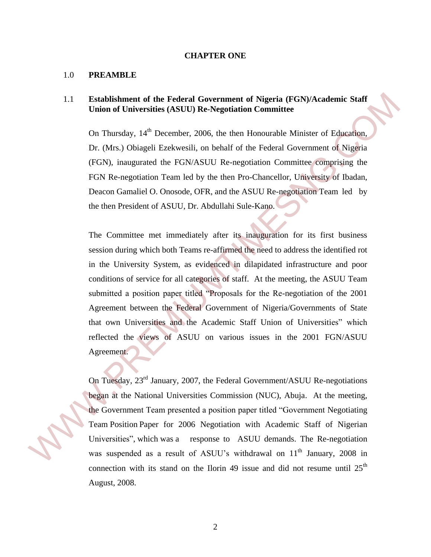### **CHAPTER ONE**

### 1.0 **PREAMBLE**

### 1.1 **Establishment of the Federal Government of Nigeria (FGN)/Academic Staff Union of Universities (ASUU) Re-Negotiation Committee**

On Thursday, 14<sup>th</sup> December, 2006, the then Honourable Minister of Education, Dr. (Mrs.) Obiageli Ezekwesili, on behalf of the Federal Government of Nigeria (FGN), inaugurated the FGN/ASUU Re-negotiation Committee comprising the FGN Re-negotiation Team led by the then Pro-Chancellor, University of Ibadan, Deacon Gamaliel O. Onosode, OFR, and the ASUU Re-negotiation Team led by the then President of ASUU, Dr. Abdullahi Sule-Kano.

The Committee met immediately after its inauguration for its first business session during which both Teams re-affirmed the need to address the identified rot in the University System, as evidenced in dilapidated infrastructure and poor conditions of service for all categories of staff. At the meeting, the ASUU Team submitted a position paper titled "Proposals for the Re-negotiation of the 2001 Agreement between the Federal Government of Nigeria/Governments of State that own Universities and the Academic Staff Union of Universities" which reflected the views of ASUU on various issues in the 2001 FGN/ASUU Agreement. 1.1 Establishment of the Federal Government of Nigeria (EGN)/Academic Staff<br>
Union of Universities (ASUU) Re-Negotiation Committee<br>
1. On Thursday, 14<sup>m</sup> December, 2006, the then Honoratole Muister of Education,<br>
1. O. (M

On Tuesday, 23rd January, 2007, the Federal Government/ASUU Re-negotiations began at the National Universities Commission (NUC), Abuja. At the meeting, the Government Team presented a position paper titled "Government Negotiating Team Position Paper for 2006 Negotiation with Academic Staff of Nigerian Universities", which was a response to ASUU demands. The Re-negotiation was suspended as a result of ASUU's withdrawal on 11<sup>th</sup> January, 2008 in connection with its stand on the Ilorin 49 issue and did not resume until  $25<sup>th</sup>$ August, 2008.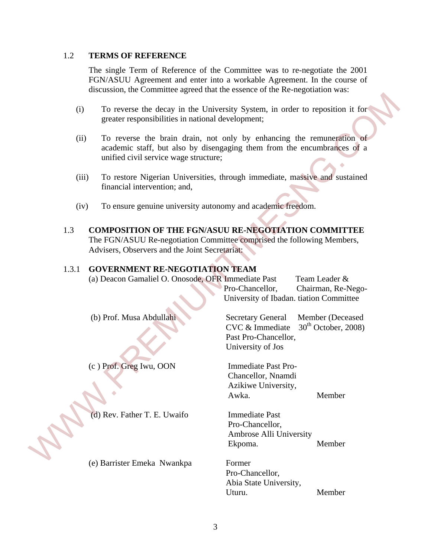### 1.2 **TERMS OF REFERENCE**

The single Term of Reference of the Committee was to re-negotiate the 2001 FGN/ASUU Agreement and enter into a workable Agreement. In the course of discussion, the Committee agreed that the essence of the Re-negotiation was:

- (i) To reverse the decay in the University System, in order to reposition it for greater responsibilities in national development;
- (ii) To reverse the brain drain, not only by enhancing the remuneration of academic staff, but also by disengaging them from the encumbrances of a unified civil service wage structure;
- (iii) To restore Nigerian Universities, through immediate, massive and sustained financial intervention; and,
- (iv) To ensure genuine university autonomy and academic freedom.

### 1.3 **COMPOSITION OF THE FGN/ASUU RE-NEGOTIATION COMMITTEE** The FGN/ASUU Re-negotiation Committee comprised the following Members,

### 1.3.1 **GOVERNMENT RE-NEGOTIATION TEAM**

| greater responsibilities in national development;<br>unified civil service wage structure;<br>financial intervention; and,<br>Advisers, Observers and the Joint Secretariat:<br><b>GOVERNMENT RE-NEGOTIATION TEAM</b><br>(a) Deacon Gamaliel O. Onosode, OFR Immediate Past | To reverse the decay in the University System, in order to reposition it for<br>To reverse the brain drain, not only by enhancing the remuneration of<br>academic staff, but also by disengaging them from the encumbrances of a<br>To restore Nigerian Universities, through immediate, massive and sustained<br>To ensure genuine university autonomy and academic freedom.<br><b>COMPOSITION OF THE FGN/ASUU RE-NEGOTIATION COMMITTEE</b><br>The FGN/ASUU Re-negotiation Committee comprised the following Members,<br>Team Leader & |
|-----------------------------------------------------------------------------------------------------------------------------------------------------------------------------------------------------------------------------------------------------------------------------|-----------------------------------------------------------------------------------------------------------------------------------------------------------------------------------------------------------------------------------------------------------------------------------------------------------------------------------------------------------------------------------------------------------------------------------------------------------------------------------------------------------------------------------------|
|                                                                                                                                                                                                                                                                             |                                                                                                                                                                                                                                                                                                                                                                                                                                                                                                                                         |
|                                                                                                                                                                                                                                                                             |                                                                                                                                                                                                                                                                                                                                                                                                                                                                                                                                         |
|                                                                                                                                                                                                                                                                             |                                                                                                                                                                                                                                                                                                                                                                                                                                                                                                                                         |
|                                                                                                                                                                                                                                                                             |                                                                                                                                                                                                                                                                                                                                                                                                                                                                                                                                         |
|                                                                                                                                                                                                                                                                             |                                                                                                                                                                                                                                                                                                                                                                                                                                                                                                                                         |
|                                                                                                                                                                                                                                                                             | Pro-Chancellor,<br>Chairman, Re-Nego-<br>University of Ibadan. tiation Committee                                                                                                                                                                                                                                                                                                                                                                                                                                                        |
|                                                                                                                                                                                                                                                                             | <b>Secretary General</b><br>Member (Deceased<br>$30th$ October, 2008)<br>CVC & Immediate<br>Past Pro-Chancellor,<br>University of Jos                                                                                                                                                                                                                                                                                                                                                                                                   |
|                                                                                                                                                                                                                                                                             | <b>Immediate Past Pro-</b><br>Chancellor, Nnamdi<br>Azikiwe University,<br>Awka.<br>Member                                                                                                                                                                                                                                                                                                                                                                                                                                              |
|                                                                                                                                                                                                                                                                             | <b>Immediate Past</b><br>Pro-Chancellor,<br>Ambrose Alli University<br>Ekpoma.<br>Member                                                                                                                                                                                                                                                                                                                                                                                                                                                |
|                                                                                                                                                                                                                                                                             | Former<br>Pro-Chancellor,<br>Abia State University,<br>Member<br>Uturu.                                                                                                                                                                                                                                                                                                                                                                                                                                                                 |
|                                                                                                                                                                                                                                                                             | (b) Prof. Musa Abdullahi<br>(c) Prof. Greg Iwu, OON<br>(d) Rev. Father T. E. Uwaifo<br>(e) Barrister Emeka Nwankpa                                                                                                                                                                                                                                                                                                                                                                                                                      |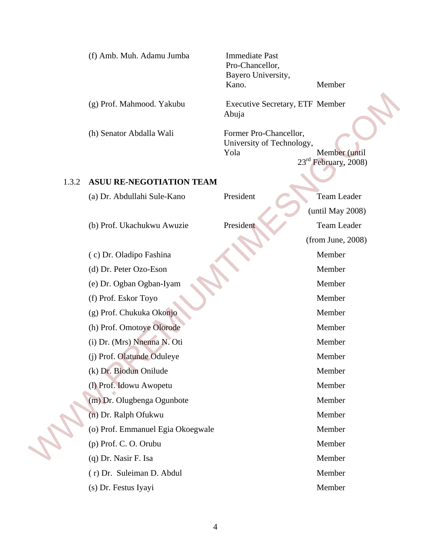| (f) Amb. Muh. Adamu Jumba |  |  |  |
|---------------------------|--|--|--|
|---------------------------|--|--|--|

Immediate Past Pro-Chancellor, Bayero University, Kano. Member

### 1.3.2 **ASUU RE-NEGOTIATION TEAM**

|       | (g) Prof. Mahmood. Yakubu         | <b>Executive Secretary, ETF Member</b>                      |                                                   |
|-------|-----------------------------------|-------------------------------------------------------------|---------------------------------------------------|
|       |                                   | Abuja                                                       |                                                   |
|       | (h) Senator Abdalla Wali          | Former Pro-Chancellor,<br>University of Technology,<br>Yola | Member (until<br>23 <sup>rd</sup> February, 2008) |
| 1.3.2 | <b>ASUU RE-NEGOTIATION TEAM</b>   |                                                             |                                                   |
|       | (a) Dr. Abdullahi Sule-Kano       | President                                                   | Team Leader                                       |
|       |                                   |                                                             | (until May 2008)                                  |
|       | (b) Prof. Ukachukwu Awuzie        | President                                                   | Team Leader                                       |
|       |                                   |                                                             | (from June, 2008)                                 |
|       | (c) Dr. Oladipo Fashina           |                                                             | Member                                            |
|       | (d) Dr. Peter Ozo-Eson            |                                                             | Member                                            |
|       | (e) Dr. Ogban Ogban-Iyam          |                                                             | Member                                            |
|       | (f) Prof. Eskor Toyo              |                                                             | Member                                            |
|       | (g) Prof. Chukuka Okonjo          |                                                             | Member                                            |
|       | (h) Prof. Omotoye Olorode         |                                                             | Member                                            |
|       | (i) Dr. (Mrs) Nnenna N. Oti       |                                                             | Member                                            |
|       | (j) Prof. Olatunde Oduleye        |                                                             | Member                                            |
|       | (k) Dr. Biodun Onilude            |                                                             | Member                                            |
|       | (1) Prof. Idowu Awopetu           |                                                             | Member                                            |
|       | (m) Dr. Olugbenga Ogunbote        |                                                             | Member                                            |
|       | (n) Dr. Ralph Ofukwu              |                                                             | Member                                            |
|       | (o) Prof. Emmanuel Egia Okoegwale |                                                             | Member                                            |
|       | (p) Prof. C. O. Orubu             |                                                             | Member                                            |
|       | (q) Dr. Nasir F. Isa              |                                                             | Member                                            |
|       | (r) Dr. Suleiman D. Abdul         |                                                             | Member                                            |
|       | (s) Dr. Festus Iyayi              |                                                             | Member                                            |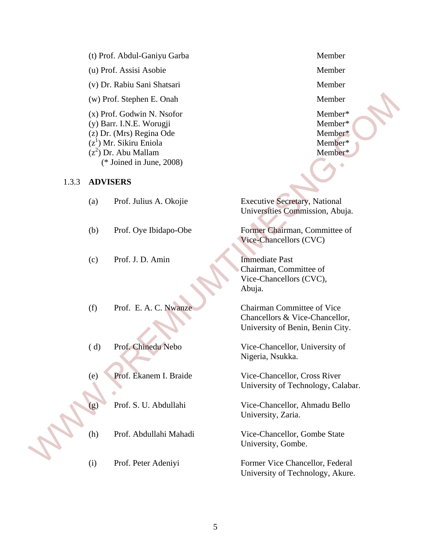- (t) Prof. Abdul-Ganiyu Garba Member
- (u) Prof. Assisi Asobie Member
- (v) Dr. Rabiu Sani Shatsari Member

### 1.3.3 **ADVISERS**

|       |                 | (w) Prof. Stephen E. Onah                                                                                                                                               | Member                                                                                                  |
|-------|-----------------|-------------------------------------------------------------------------------------------------------------------------------------------------------------------------|---------------------------------------------------------------------------------------------------------|
|       |                 | (x) Prof. Godwin N. Nsofor<br>(y) Barr. I.N.E. Worugji<br>(z) Dr. (Mrs) Regina Ode<br>$(z1)$ Mr. Sikiru Eniola<br>$(z^2)$ Dr. Abu Mallam<br>( $*$ Joined in June, 2008) | Member*<br>Member*<br>Member*<br>Member*<br>Member*                                                     |
| 1.3.3 | <b>ADVISERS</b> |                                                                                                                                                                         |                                                                                                         |
|       | (a)             | Prof. Julius A. Okojie                                                                                                                                                  | <b>Executive Secretary, National</b><br>Universities Commission, Abuja.                                 |
|       | (b)             | Prof. Oye Ibidapo-Obe                                                                                                                                                   | Former Chairman, Committee of<br>Vice-Chancellors (CVC)                                                 |
|       | (c)             | Prof. J. D. Amin                                                                                                                                                        | <b>Immediate Past</b><br>Chairman, Committee of<br>Vice-Chancellors (CVC),<br>Abuja.                    |
|       | (f)             | Prof. E. A. C. Nwanze                                                                                                                                                   | <b>Chairman Committee of Vice</b><br>Chancellors & Vice-Chancellor,<br>University of Benin, Benin City. |
|       | (d)             | Prof. Chinedu Nebo                                                                                                                                                      | Vice-Chancellor, University of<br>Nigeria, Nsukka.                                                      |
|       | (e)             | Prof. Ekanem I. Braide                                                                                                                                                  | Vice-Chancellor, Cross River<br>University of Technology, Calabar.                                      |
|       | (g)             | Prof. S. U. Abdullahi                                                                                                                                                   | Vice-Chancellor, Ahmadu Bello<br>University, Zaria.                                                     |
|       | (h)             | Prof. Abdullahi Mahadi                                                                                                                                                  | Vice-Chancellor, Gombe State<br>University, Gombe.                                                      |
|       | (i)             | Prof. Peter Adenivi                                                                                                                                                     | Former Vice Chancellor, Federal                                                                         |

(i) Prof. Peter Adeniyi Former Vice Chancellor, Federal University of Technology, Akure.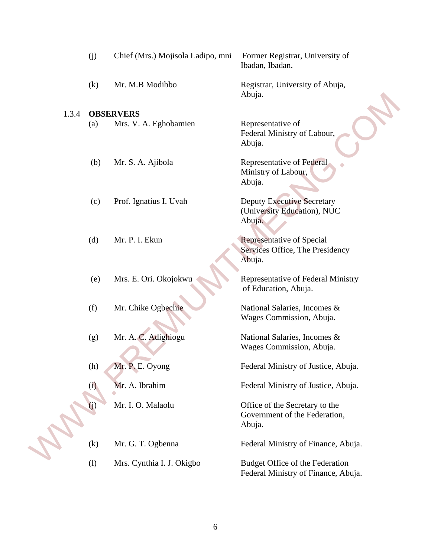|       | (j) | Chief (Mrs.) Mojisola Ladipo, mni | Former Registrar, University of<br>Ibadan, Ibadan.                         |
|-------|-----|-----------------------------------|----------------------------------------------------------------------------|
|       | (k) | Mr. M.B Modibbo                   | Registrar, University of Abuja,<br>Abuja.                                  |
| 1.3.4 |     | <b>OBSERVERS</b>                  |                                                                            |
|       | (a) | Mrs. V. A. Eghobamien             | Representative of<br>Federal Ministry of Labour,<br>Abuja.                 |
|       | (b) | Mr. S. A. Ajibola                 | Representative of Federal<br>Ministry of Labour,<br>Abuja.                 |
|       | (c) | Prof. Ignatius I. Uvah            | <b>Deputy Executive Secretary</b><br>(University Education), NUC<br>Abuja. |
|       | (d) | Mr. P. I. Ekun                    | Representative of Special<br>Services Office, The Presidency<br>Abuja.     |
|       | (e) | Mrs. E. Ori. Okojokwu             | Representative of Federal Ministry<br>of Education, Abuja.                 |
|       | (f) | Mr. Chike Ogbechie                | National Salaries, Incomes &<br>Wages Commission, Abuja.                   |
|       | (g) | Mr. A. C. Adighiogu               | National Salaries, Incomes &<br>Wages Commission, Abuja.                   |
|       | (h) | Mr. P. E. Oyong                   | Federal Ministry of Justice, Abuja.                                        |
|       | (i) | Mr. A. Ibrahim                    | Federal Ministry of Justice, Abuja.                                        |
|       | (i) | Mr. I. O. Malaolu                 | Office of the Secretary to the<br>Government of the Federation,<br>Abuja.  |
|       | (k) | Mr. G. T. Ogbenna                 | Federal Ministry of Finance, Abuja.                                        |
|       | (1) | Mrs. Cynthia I. J. Okigbo         | Budget Office of the Federation<br>Federal Ministry of Finance, Abuja.     |

6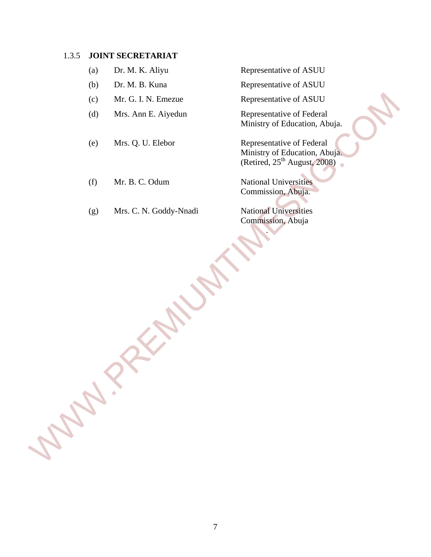### 1.3.5 **JOINT SECRETARIAT**

- 
- 
- (c) Mr. G. I. N. Emezue Representative of ASUU
- (d) Mrs. Ann E. Aiyedun Representative of Federal
- 
- (f) Mr. B. C. Odum National Universities
- (g) Mrs. C. N. Goddy-Nnadi National Universities

(a) Dr. M. K. Aliyu Representative of ASUU

(b) Dr. M. B. Kuna Representative of ASUU

Ministry of Education, Abuja.

(e) Mrs. Q. U. Elebor Representative of Federal Ministry of Education, Abuja. (Retired,  $25<sup>th</sup>$  August,  $2008$ ) (c) Mr. G. I. N. Enezue Representative of ASUU<br>
(d) Mrs. Ann E. Aiyedun<br>
Ministry of Education, Abuja.<br>
(e) Mrs. Q. U. Elebor Representative of Federal<br>
Ministry of Education. Abuja.<br>
(fedired, 25<sup>T</sup> August<sub>4</sub> 2008).<br>
(fed

Commission, Abuja.

Commission, Abuja

.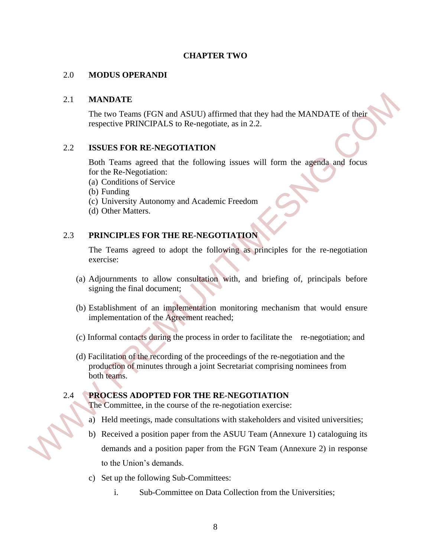### **CHAPTER TWO**

### 2.0 **MODUS OPERANDI**

### 2.1 **MANDATE**

The two Teams (FGN and ASUU) affirmed that they had the MANDATE of their respective PRINCIPALS to Re-negotiate, as in 2.2.

### 2.2 **ISSUES FOR RE-NEGOTIATION**

 Both Teams agreed that the following issues will form the agenda and focus for the Re-Negotiation:

- (a) Conditions of Service
- (b) Funding
- (c) University Autonomy and Academic Freedom
- (d) Other Matters.

### 2.3 **PRINCIPLES FOR THE RE-NEGOTIATION**

The Teams agreed to adopt the following as principles for the re-negotiation exercise:

- (a) Adjournments to allow consultation with, and briefing of, principals before signing the final document;
- (b) Establishment of an implementation monitoring mechanism that would ensure implementation of the Agreement reached;
- (c) Informal contacts during the process in order to facilitate the re-negotiation; and
- (d) Facilitation of the recording of the proceedings of the re-negotiation and the production of minutes through a joint Secretariat comprising nominees from both teams.

### 2.4 **PROCESS ADOPTED FOR THE RE-NEGOTIATION**

The Committee, in the course of the re-negotiation exercise:

- a) Held meetings, made consultations with stakeholders and visited universities;
- b) Received a position paper from the ASUU Team (Annexure 1) cataloguing its demands and a position paper from the FGN Team (Annexure 2) in response to the Union's demands. 2.1 MANDATE<br>
The two Teams (FGN and ASUU) affirmed that they had the MANDATE of their<br>
respective PRINCIPALS to Re-negotiane, as in 2.2.<br>
2.2 ISSUES FOR RE-NEGOTIATION<br>
Hoth Teams agreed that the following issues will for
	- c) Set up the following Sub-Committees:
		- i. Sub-Committee on Data Collection from the Universities;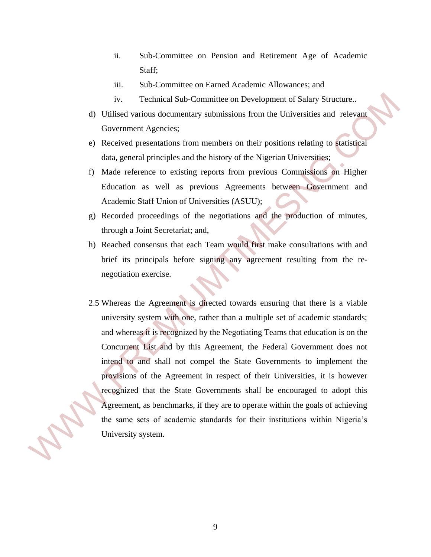- ii. Sub-Committee on Pension and Retirement Age of Academic Staff;
- iii. Sub-Committee on Earned Academic Allowances; and
- iv. Technical Sub-Committee on Development of Salary Structure..
- d) Utilised various documentary submissions from the Universities and relevant Government Agencies;
- e) Received presentations from members on their positions relating to statistical data, general principles and the history of the Nigerian Universities;
- f) Made reference to existing reports from previous Commissions on Higher Education as well as previous Agreements between Government and Academic Staff Union of Universities (ASUU);
- g) Recorded proceedings of the negotiations and the production of minutes, through a Joint Secretariat; and,
- h) Reached consensus that each Team would first make consultations with and brief its principals before signing any agreement resulting from the renegotiation exercise.
- 2.5 Whereas the Agreement is directed towards ensuring that there is a viable university system with one, rather than a multiple set of academic standards; and whereas it is recognized by the Negotiating Teams that education is on the Concurrent List and by this Agreement, the Federal Government does not intend to and shall not compel the State Governments to implement the provisions of the Agreement in respect of their Universities, it is however recognized that the State Governments shall be encouraged to adopt this Agreement, as benchmarks, if they are to operate within the goals of achieving the same sets of academic standards for their institutions within Nigeria's University system. iv. Technical Sub-Committee on Development of Salary Structure.<br>
(I Utilised various documentary submissions from the Universities and relevant<br>
(Government Agencies:<br>
e) Received presentations from members on their positi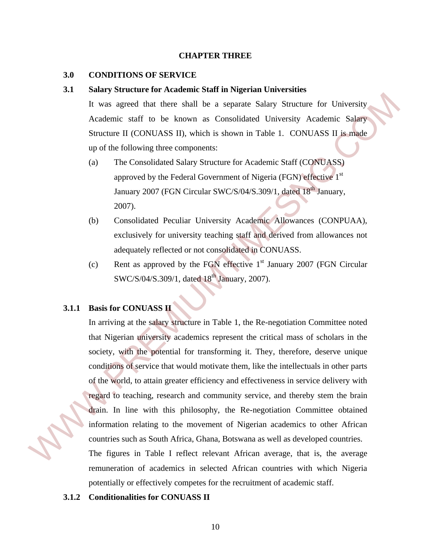### **CHAPTER THREE**

### **3.0 CONDITIONS OF SERVICE**

### **3.1 Salary Structure for Academic Staff in Nigerian Universities**

It was agreed that there shall be a separate Salary Structure for University Academic staff to be known as Consolidated University Academic Salary Structure II (CONUASS II), which is shown in Table 1. CONUASS II is made up of the following three components:

- (a) The Consolidated Salary Structure for Academic Staff (CONUASS) approved by the Federal Government of Nigeria (FGN) effective 1<sup>st</sup> January 2007 (FGN Circular SWC/S/04/S.309/1, dated 18<sup>th</sup> January, 2007).
	- (b) Consolidated Peculiar University Academic Allowances (CONPUAA), exclusively for university teaching staff and derived from allowances not adequately reflected or not consolidated in CONUASS.
	- (c) Rent as approved by the FGN effective  $1<sup>st</sup>$  January 2007 (FGN Circular SWC/S/04/S.309/1, dated  $18^{th}$  January, 2007).

### **3.1.1 Basis for CONUASS II**

In arriving at the salary structure in Table 1, the Re-negotiation Committee noted that Nigerian university academics represent the critical mass of scholars in the society, with the potential for transforming it. They, therefore, deserve unique conditions of service that would motivate them, like the intellectuals in other parts of the world, to attain greater efficiency and effectiveness in service delivery with regard to teaching, research and community service, and thereby stem the brain drain. In line with this philosophy, the Re-negotiation Committee obtained information relating to the movement of Nigerian academics to other African countries such as South Africa, Ghana, Botswana as well as developed countries. The sum grand of the sum and summarized that there shall be a separate Salary Structure for University Academic staff to be known as Consolidated University Academic Salary<br>Structure III (CONUASS II), which is shown in Tab

The figures in Table I reflect relevant African average, that is, the average remuneration of academics in selected African countries with which Nigeria potentially or effectively competes for the recruitment of academic staff.

### **3.1.2 Conditionalities for CONUASS II**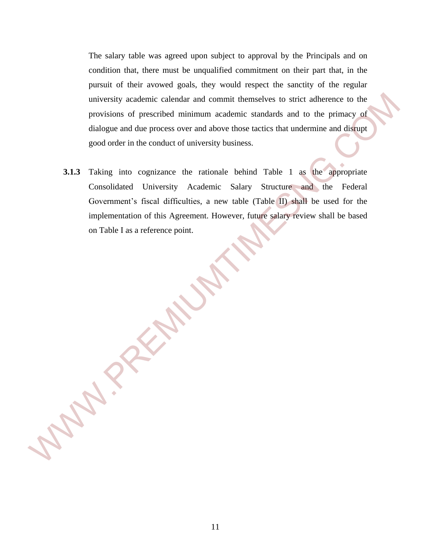The salary table was agreed upon subject to approval by the Principals and on condition that, there must be unqualified commitment on their part that, in the pursuit of their avowed goals, they would respect the sanctity of the regular university academic calendar and commit themselves to strict adherence to the provisions of prescribed minimum academic standards and to the primacy of dialogue and due process over and above those tactics that undermine and disrupt good order in the conduct of university business.

**3.1.3** Taking into cognizance the rationale behind Table 1 as the appropriate Consolidated University Academic Salary Structure and the Federal Government's fiscal difficulties, a new table (Table II) shall be used for the implementation of this Agreement. However, future salary review shall be based on Table I as a reference point. miversity academic calendar and commit themselves to strict adherence to the<br>provisions of prescribed minimum academic standards and to the primacy of<br>dialogue and othe process over and above those necits that undermine an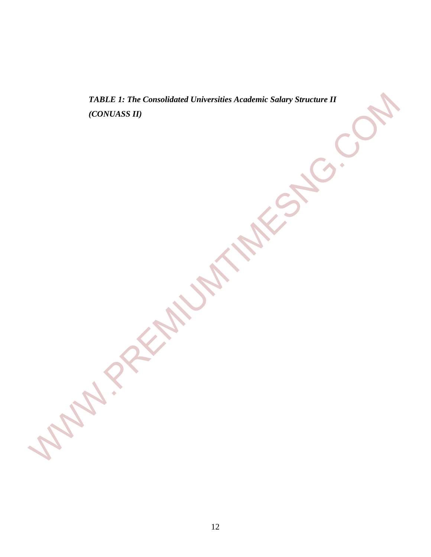*TABLE 1: The Consolidated Universities Academic Salary Structure II (CONUASS II)* TABLE I: The Consolidated Universities Academic Satary Structure II<br>(CONUASS II)<br>
NAME AND MELLAN UNIVERSITY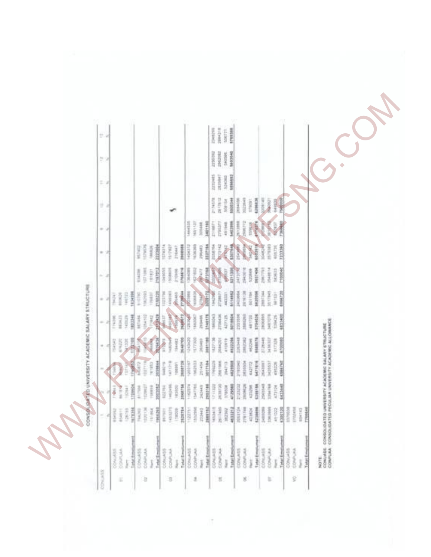|                                                     | b,                       |              |                         |                      |                                                                                                                                                                                                                                                                                                                                                                                                                                                                                     |                         |                                |                |                                                                                                                                                                                                                                                                                                                                                                                              |                                                                                                                                                                                                                                                                                                                                                                 |                                 |           |               |                                                                                         |                             | 224219<br>284219<br>20221<br>RMM |                  |                 |                       |                          |                    |               |               |         |                          |                                                                                                                                      |  |
|-----------------------------------------------------|--------------------------|--------------|-------------------------|----------------------|-------------------------------------------------------------------------------------------------------------------------------------------------------------------------------------------------------------------------------------------------------------------------------------------------------------------------------------------------------------------------------------------------------------------------------------------------------------------------------------|-------------------------|--------------------------------|----------------|----------------------------------------------------------------------------------------------------------------------------------------------------------------------------------------------------------------------------------------------------------------------------------------------------------------------------------------------------------------------------------------------|-----------------------------------------------------------------------------------------------------------------------------------------------------------------------------------------------------------------------------------------------------------------------------------------------------------------------------------------------------------------|---------------------------------|-----------|---------------|-----------------------------------------------------------------------------------------|-----------------------------|----------------------------------|------------------|-----------------|-----------------------|--------------------------|--------------------|---------------|---------------|---------|--------------------------|--------------------------------------------------------------------------------------------------------------------------------------|--|
|                                                     | 59                       |              |                         |                      |                                                                                                                                                                                                                                                                                                                                                                                                                                                                                     |                         |                                |                |                                                                                                                                                                                                                                                                                                                                                                                              |                                                                                                                                                                                                                                                                                                                                                                 |                                 |           |               | 200000                                                                                  | 540546                      | <b>SASSAS</b>                    |                  |                 |                       |                          |                    |               |               |         |                          |                                                                                                                                      |  |
|                                                     | $\mathbb{Z}^n$           |              |                         |                      |                                                                                                                                                                                                                                                                                                                                                                                                                                                                                     |                         |                                |                |                                                                                                                                                                                                                                                                                                                                                                                              |                                                                                                                                                                                                                                                                                                                                                                 |                                 |           |               | anaets<br>attein                                                                        | 524.363                     | 5196452                          |                  |                 |                       |                          |                    |               |               |         |                          |                                                                                                                                      |  |
|                                                     | y,                       |              |                         |                      |                                                                                                                                                                                                                                                                                                                                                                                                                                                                                     |                         |                                |                |                                                                                                                                                                                                                                                                                                                                                                                              |                                                                                                                                                                                                                                                                                                                                                                 |                                 |           |               | <b>REPAIR</b>                                                                           | <b>District</b><br>Note 104 | 550034                           | 青金沢              | <b>Resident</b> | 428428<br>strain's    | <b>DESERVE</b>           | <b>HISTORICANS</b> | 不是三           |               |         |                          |                                                                                                                                      |  |
|                                                     | $\cdots$                 |              |                         |                      |                                                                                                                                                                                                                                                                                                                                                                                                                                                                                     |                         |                                |                |                                                                                                                                                                                                                                                                                                                                                                                              |                                                                                                                                                                                                                                                                                                                                                                 | 1601108<br>1444335              | 30448     | 3401190       | 219871                                                                                  | 45/168                      | \$40,000                         | 言語の              |                 | <b>THEM</b>           |                          |                    |               |               |         |                          |                                                                                                                                      |  |
|                                                     | ٠                        |              |                         |                      | $\begin{array}{l} \frac{1}{2} \left( \begin{array}{c} 0 \\ 0 \\ 0 \end{array} \right) = \begin{array}{l} \frac{1}{2} \left( \begin{array}{c} 0 \\ 0 \\ 0 \end{array} \right) = \begin{array}{l} \frac{1}{2} \left( \begin{array}{c} 0 \\ 0 \\ 0 \end{array} \right) = \begin{array}{l} \frac{1}{2} \left( \begin{array}{c} 0 \\ 0 \\ 0 \end{array} \right) = \begin{array}{l} \frac{1}{2} \left( \begin{array}{c} 0 \\ 0 \\ 0 \end{array} \right) = \begin{array}{l} \frac{1}{2} \$ |                         | azzate.<br><b>HERE'S</b>       |                | $\frac{1}{2} \frac{1}{2} \frac{1}{2} \frac{1}{2} \frac{1}{2} \frac{1}{2} \frac{1}{2} \frac{1}{2} \frac{1}{2} \frac{1}{2} \frac{1}{2} \frac{1}{2} \frac{1}{2} \frac{1}{2} \frac{1}{2} \frac{1}{2} \frac{1}{2} \frac{1}{2} \frac{1}{2} \frac{1}{2} \frac{1}{2} \frac{1}{2} \frac{1}{2} \frac{1}{2} \frac{1}{2} \frac{1}{2} \frac{1}{2} \frac{1}{2} \frac{1}{2} \frac{1}{2} \frac{1}{2} \frac{$ | Honour                                                                                                                                                                                                                                                                                                                                                          | <b>HERRY</b>                    | Circulati | загия         |                                                                                         |                             | WN                               |                  |                 | <b>WASSER</b>         | <b>House</b>             | ment               | <b>HISTM</b>  | 7233360       |         |                          |                                                                                                                                      |  |
|                                                     | $-1$                     |              |                         |                      | H                                                                                                                                                                                                                                                                                                                                                                                                                                                                                   | the                     | <b>ZYMPOS</b><br><b>Notes</b>  | <b>Take</b>    | <b>STORM</b>                                                                                                                                                                                                                                                                                                                                                                                 | 2758816                                                                                                                                                                                                                                                                                                                                                         |                                 |           |               |                                                                                         |                             | <b>SALES</b>                     |                  | 2943010         | <b>SCONS</b>          | <b>SREAM</b>             | <b>Insurer</b>     | <b>SKORDS</b> | Thosea        |         |                          |                                                                                                                                      |  |
|                                                     | $\alpha$                 | i<br>Hit     | H                       | 田本田                  | 1962002<br>Ĭ                                                                                                                                                                                                                                                                                                                                                                                                                                                                        | $\frac{1}{2}$           | zinaza<br>ĺ                    | <b>ARRIVER</b> | <b>PARKS</b>                                                                                                                                                                                                                                                                                                                                                                                 | $\frac{1}{2} \sum_{i=1}^{n} \frac{1}{2} \sum_{i=1}^{n} \frac{1}{2} \sum_{i=1}^{n} \frac{1}{2} \sum_{i=1}^{n} \frac{1}{2} \sum_{i=1}^{n} \frac{1}{2} \sum_{i=1}^{n} \frac{1}{2} \sum_{i=1}^{n} \frac{1}{2} \sum_{i=1}^{n} \frac{1}{2} \sum_{i=1}^{n} \frac{1}{2} \sum_{i=1}^{n} \frac{1}{2} \sum_{i=1}^{n} \frac{1}{2} \sum_{i=1}^{n} \frac{1}{2} \sum_{i=1}^{n$ | <b>DESTRU</b><br><b>FCRADE:</b> |           |               | <b>THERE</b>                                                                            | 4433233                     | 5114952                          | <b>THOMAS</b>    | 調節料             | 5420506<br>Ì          | 正言                       | <b>SACTAS</b>      | i da i        | 094220        |         |                          |                                                                                                                                      |  |
| CONSOLO ANY OF UNIVERSITY ACADEMIC SALARY STRUCTURE | ÷                        | <b>Hotel</b> | in and                  | 180346               | Militär                                                                                                                                                                                                                                                                                                                                                                                                                                                                             | $\frac{1}{2\pi\hbar^2}$ |                                |                |                                                                                                                                                                                                                                                                                                                                                                                              |                                                                                                                                                                                                                                                                                                                                                                 | <b>TERRA</b><br><b>TERRIT</b>   | 20mm      | 2148179       | 1965043                                                                                 | <b>STORAGE</b>              | 427225                           | <b>EXECUTIVE</b> | <b>Height</b>   | smeets<br>481720      | <b>INSURANT</b>          | METRIN             | 清洁            | \$833400      |         |                          |                                                                                                                                      |  |
|                                                     | Ť.                       | ERSKE        | in and<br><b>MATINE</b> | <b>URIN</b>          | <b>The Second</b>                                                                                                                                                                                                                                                                                                                                                                                                                                                                   |                         | <b>COMMAND</b><br><b>HONOR</b> |                | <b>HANK</b>                                                                                                                                                                                                                                                                                                                                                                                  | Stewart                                                                                                                                                                                                                                                                                                                                                         | <b>INTERIOR</b>                 | Sticket   | <b>MATTER</b> | <b>Million</b>                                                                          | <b>SRAGIN</b>               | ATOPTH                           | 1203448          | 美星              | <b>STRANDS</b><br>机切解 | 2726440                  | SASARIT            | script        | <b>POSSIB</b> |         |                          |                                                                                                                                      |  |
|                                                     | $\overline{\phantom{a}}$ | D            |                         | TAN                  | <b>The Althous</b><br><b>HORPS</b>                                                                                                                                                                                                                                                                                                                                                                                                                                                  | tehtis.                 | <b>Analysis</b><br>计算法         |                | uarring<br>1989                                                                                                                                                                                                                                                                                                                                                                              | 388730                                                                                                                                                                                                                                                                                                                                                          | super                           |           | 291456        | <b>Trease</b>                                                                           |                             | 201708                           | <b>HEGH!</b>     | MONGH           | 442722                | 35433937<br><b>Hante</b> | MONST              | elith 26      | \$386752      |         |                          |                                                                                                                                      |  |
|                                                     | NE                       |              |                         | Litterator           |                                                                                                                                                                                                                                                                                                                                                                                                                                                                                     |                         |                                |                | <b>MARIE SANA</b>                                                                                                                                                                                                                                                                                                                                                                            |                                                                                                                                                                                                                                                                                                                                                                 |                                 |           |               |                                                                                         |                             |                                  |                  |                 |                       |                          |                    |               |               |         |                          |                                                                                                                                      |  |
|                                                     | ś                        |              |                         |                      |                                                                                                                                                                                                                                                                                                                                                                                                                                                                                     |                         |                                |                |                                                                                                                                                                                                                                                                                                                                                                                              |                                                                                                                                                                                                                                                                                                                                                                 |                                 |           |               |                                                                                         |                             |                                  |                  |                 |                       |                          |                    |               | 120722        |         | $\frac{1742438}{184434}$ | rresear                                                                                                                              |  |
|                                                     |                          | concessi     |                         | <b>All September</b> | phone.<br><b>CERTIFICATE</b>                                                                                                                                                                                                                                                                                                                                                                                                                                                        |                         | ciril Employee                 |                |                                                                                                                                                                                                                                                                                                                                                                                              | plat firms                                                                                                                                                                                                                                                                                                                                                      | owner<br>Chuusta                |           |               | $\begin{array}{l} \underline{198448666664}\\ \underline{1004441}\\ 0000341 \end{array}$ |                             | Intelligent<br>j                 | CONJASS          |                 |                       |                          |                    |               |               | person. |                          | NOTE<br>CONJUSE - CONSOLIDATED UNIVERSITY ACADEMIC SALARY STRUCTURE<br>CONFUIA - CONSOLIDATED PECULIAR UNIVERSITY ACADEMIC ALLOWANCE |  |
|                                                     | <b>Chicago</b>           |              | ĸ                       |                      | a                                                                                                                                                                                                                                                                                                                                                                                                                                                                                   |                         |                                |                |                                                                                                                                                                                                                                                                                                                                                                                              |                                                                                                                                                                                                                                                                                                                                                                 | 2                               |           |               |                                                                                         | z                           |                                  |                  | g               |                       |                          | t                  |               |               | ġ       |                          |                                                                                                                                      |  |

13 13 13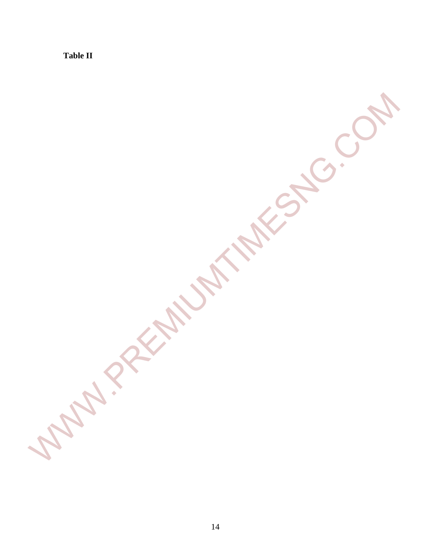**Table II** 

WWW.PREMIUMTIMESNG.COM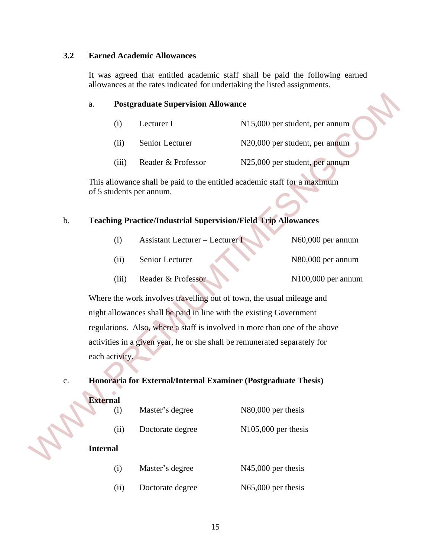### **3.2 Earned Academic Allowances**

It was agreed that entitled academic staff shall be paid the following earned allowances at the rates indicated for undertaking the listed assignments.

### a. **Postgraduate Supervision Allowance**

| (1)   | Lecturer I         | N15,000 per student, per annum |
|-------|--------------------|--------------------------------|
| (11)  | Senior Lecturer    | N20,000 per student, per annum |
| (111) | Reader & Professor | N25,000 per student, per annum |

### b. **Teaching Practice/Industrial Supervision/Field Trip Allowances**

|        | <b>Assistant Lecturer – Lecturer I</b> | N60,000 per annum              |
|--------|----------------------------------------|--------------------------------|
| (11)   | Senior Lecturer                        | N <sub>80</sub> ,000 per annum |
| (111 ) | Reader & Professor                     | $N100,000$ per annum           |

### c. **Honoraria for External/Internal Examiner (Postgraduate Thesis)**

|               | a.                                                                    |                                                                     | <b>Postgraduate Supervision Allowance</b>                                                             |                       |                                |  |  |
|---------------|-----------------------------------------------------------------------|---------------------------------------------------------------------|-------------------------------------------------------------------------------------------------------|-----------------------|--------------------------------|--|--|
|               |                                                                       | (i)                                                                 | Lecturer I                                                                                            |                       | N15,000 per student, per annum |  |  |
|               |                                                                       | (ii)                                                                | Senior Lecturer                                                                                       |                       | N20,000 per student, per annum |  |  |
|               |                                                                       | (iii)                                                               | Reader & Professor                                                                                    |                       | N25,000 per student, per annum |  |  |
|               |                                                                       |                                                                     | This allowance shall be paid to the entitled academic staff for a maximum<br>of 5 students per annum. |                       |                                |  |  |
| b.            |                                                                       |                                                                     | <b>Teaching Practice/Industrial Supervision/Field Trip Allowances</b>                                 |                       |                                |  |  |
|               |                                                                       | (i)                                                                 | <b>Assistant Lecturer - Lecturer I</b>                                                                |                       | N60,000 per annum              |  |  |
|               |                                                                       | (ii)                                                                | Senior Lecturer                                                                                       |                       | N80,000 per annum              |  |  |
|               |                                                                       | (iii)                                                               | Reader & Professor                                                                                    |                       | N100,000 per annum             |  |  |
|               | Where the work involves travelling out of town, the usual mileage and |                                                                     |                                                                                                       |                       |                                |  |  |
|               |                                                                       | night allowances shall be paid in line with the existing Government |                                                                                                       |                       |                                |  |  |
|               |                                                                       |                                                                     | regulations. Also, where a staff is involved in more than one of the above                            |                       |                                |  |  |
|               |                                                                       |                                                                     | activities in a given year, he or she shall be remunerated separately for                             |                       |                                |  |  |
|               | each activity.                                                        |                                                                     |                                                                                                       |                       |                                |  |  |
| $\mathbf{c}.$ |                                                                       |                                                                     | Honoraria for External/Internal Examiner (Postgraduate Thesis)                                        |                       |                                |  |  |
|               | <b>External</b>                                                       |                                                                     |                                                                                                       |                       |                                |  |  |
|               |                                                                       | (i)                                                                 | Master's degree                                                                                       | N80,000 per thesis    |                                |  |  |
|               |                                                                       | (ii)                                                                | Doctorate degree                                                                                      | $N105,000$ per thesis |                                |  |  |
|               | <b>Internal</b>                                                       |                                                                     |                                                                                                       |                       |                                |  |  |
|               |                                                                       | (i)                                                                 | Master's degree                                                                                       | N45,000 per thesis    |                                |  |  |
|               |                                                                       | (ii)                                                                | Doctorate degree                                                                                      | N65,000 per thesis    |                                |  |  |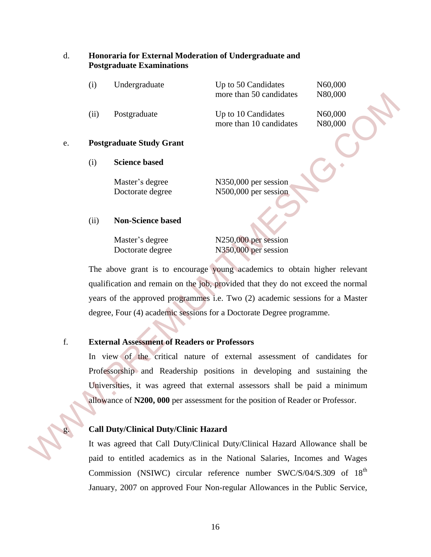### d. **Honoraria for External Moderation of Undergraduate and Postgraduate Examinations**

| (1)  | Undergraduate | Up to 50 Candidates<br>more than 50 candidates | N60,000<br>N80,000 |
|------|---------------|------------------------------------------------|--------------------|
| (11) | Postgraduate  | Up to 10 Candidates<br>more than 10 candidates | N60,000<br>N80,000 |
|      |               |                                                |                    |

### e. **Postgraduate Study Grant**

(i) **Science based** 

Master's degree N350,000 per session

Doctorate degree N500,000 per session

### (ii) **Non-Science based**

Master's degree N250,000 per session

Doctorate degree N350,000 per session

The above grant is to encourage young academics to obtain higher relevant qualification and remain on the job, provided that they do not exceed the normal years of the approved programmes i.e. Two (2) academic sessions for a Master degree, Four (4) academic sessions for a Doctorate Degree programme.

### f. **External Assessment of Readers or Professors**

In view of the critical nature of external assessment of candidates for Professorship and Readership positions in developing and sustaining the Universities, it was agreed that external assessors shall be paid a minimum allowance of **N200, 000** per assessment for the position of Reader or Professor. more than 50 candidates N80,000<br>
(ii) Postgraduate Up to 10 Candidates N80,000<br>
more than 10 candidates N80,000<br>
e. **Postgraduate Study Grant**<br>
(i) Science hased<br>
Master's degree<br>
Doctorate degree<br>
Notomas degree<br>
Naster's

### g. **Call Duty/Clinical Duty/Clinic Hazard**

It was agreed that Call Duty/Clinical Duty/Clinical Hazard Allowance shall be paid to entitled academics as in the National Salaries, Incomes and Wages Commission (NSIWC) circular reference number SWC/S/04/S.309 of 18<sup>th</sup> January, 2007 on approved Four Non-regular Allowances in the Public Service,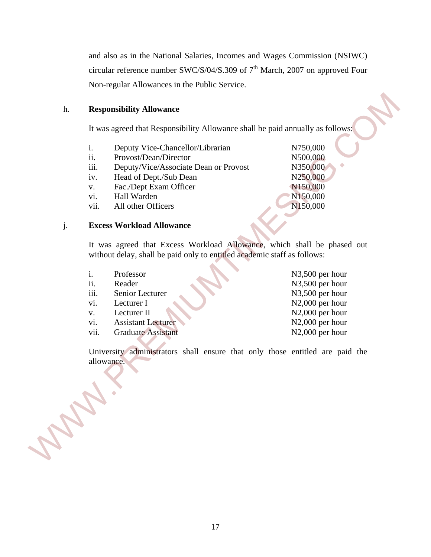and also as in the National Salaries, Incomes and Wages Commission (NSIWC) circular reference number SWC/S/04/S.309 of  $7<sup>th</sup>$  March, 2007 on approved Four Non-regular Allowances in the Public Service.

### h. **Responsibility Allowance**

- i. Deputy Vice-Chancellor/Librarian N750,000
- ii. Provost/Dean/Director N500,000
- iii. Deputy/Vice/Associate Dean or Provost N350,000
- iv. Head of Dept./Sub Dean N250,000
- v. Fac./Dept Exam Officer N150,000
- vi. Hall Warden N150,000
- vii. All other Officers N150,000

### j. **Excess Workload Allowance**

| h.    | <b>Responsibility Allowance</b>                                                                                                                     |                              |
|-------|-----------------------------------------------------------------------------------------------------------------------------------------------------|------------------------------|
|       | It was agreed that Responsibility Allowance shall be paid annually as follows:                                                                      |                              |
|       | i.<br>Deputy Vice-Chancellor/Librarian                                                                                                              | N750,000                     |
|       | Provost/Dean/Director<br>ii.                                                                                                                        | N500,000                     |
|       | iii.<br>Deputy/Vice/Associate Dean or Provost                                                                                                       | N350,000                     |
|       | Head of Dept./Sub Dean<br>iv.                                                                                                                       | N250,000                     |
|       | Fac./Dept Exam Officer<br>V.                                                                                                                        | N150,000                     |
|       | Hall Warden<br>vi.                                                                                                                                  | N150,000                     |
|       | All other Officers<br>vii.                                                                                                                          | N150,000                     |
| j.    | <b>Excess Workload Allowance</b>                                                                                                                    |                              |
|       | It was agreed that Excess Workload Allowance, which shall be phased out<br>without delay, shall be paid only to entitled academic staff as follows: |                              |
|       | i.<br>Professor                                                                                                                                     | N3,500 per hour              |
|       | ii.<br>Reader                                                                                                                                       | N3,500 per hour              |
|       | iii.<br>Senior Lecturer                                                                                                                             | N3,500 per hour              |
|       | vi.<br>Lecturer I                                                                                                                                   | N <sub>2</sub> ,000 per hour |
|       | Lecturer II<br>V.                                                                                                                                   | N <sub>2</sub> ,000 per hour |
|       | <b>Assistant Lecturer</b><br>vi.                                                                                                                    | N2,000 per hour              |
|       | <b>Graduate Assistant</b><br>vii.                                                                                                                   | N <sub>2</sub> ,000 per hour |
|       | University administrators shall ensure that only those entitled are paid the<br>allowance.                                                          |                              |
|       |                                                                                                                                                     |                              |
| May 1 |                                                                                                                                                     |                              |
|       |                                                                                                                                                     |                              |
|       |                                                                                                                                                     |                              |
|       |                                                                                                                                                     |                              |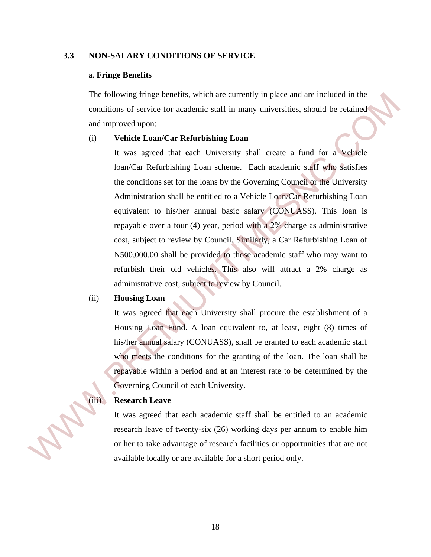### **3.3 NON-SALARY CONDITIONS OF SERVICE**

### a. **Fringe Benefits**

The following fringe benefits, which are currently in place and are included in the conditions of service for academic staff in many universities, should be retained and improved upon:

### (i) **Vehicle Loan/Car Refurbishing Loan**

It was agreed that **e**ach University shall create a fund for a Vehicle loan/Car Refurbishing Loan scheme. Each academic staff who satisfies the conditions set for the loans by the Governing Council or the University Administration shall be entitled to a Vehicle Loan/Car Refurbishing Loan equivalent to his/her annual basic salary (CONUASS). This loan is repayable over a four (4) year, period with a 2% charge as administrative cost, subject to review by Council. Similarly, a Car Refurbishing Loan of N500,000.00 shall be provided to those academic staff who may want to refurbish their old vehicles. This also will attract a 2% charge as administrative cost, subject to review by Council. The following three total cases of the carrently in pluce and are included in the<br>
conditions of service for academic staff in many universities, should be retained<br>
and improved upon:<br>
(1) **Vehicle Loan/Car Refurbishing** 

### (ii) **Housing Loan**

It was agreed that each University shall procure the establishment of a Housing Loan Fund. A loan equivalent to, at least, eight (8) times of his/her annual salary (CONUASS), shall be granted to each academic staff who meets the conditions for the granting of the loan. The loan shall be repayable within a period and at an interest rate to be determined by the Governing Council of each University.

### **Research Leave**

It was agreed that each academic staff shall be entitled to an academic research leave of twenty-six (26) working days per annum to enable him or her to take advantage of research facilities or opportunities that are not available locally or are available for a short period only.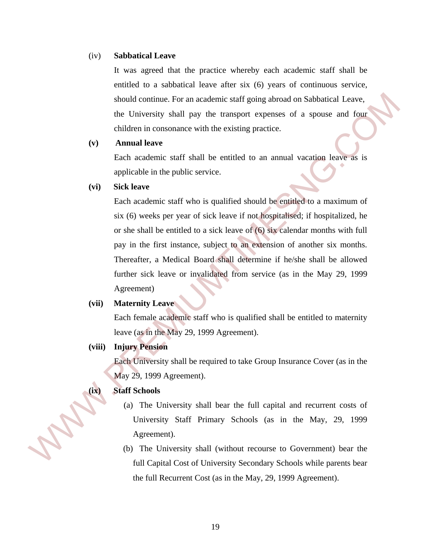### (iv) **Sabbatical Leave**

It was agreed that the practice whereby each academic staff shall be entitled to a sabbatical leave after six (6) years of continuous service, should continue. For an academic staff going abroad on Sabbatical Leave, the University shall pay the transport expenses of a spouse and four children in consonance with the existing practice.

### **(v) Annual leave**

Each academic staff shall be entitled to an annual vacation leave as is applicable in the public service.

### **(vi) Sick leave**

 Each academic staff who is qualified should be entitled to a maximum of six (6) weeks per year of sick leave if not hospitalised; if hospitalized, he or she shall be entitled to a sick leave of (6) six calendar months with full pay in the first instance, subject to an extension of another six months. Thereafter, a Medical Board shall determine if he/she shall be allowed further sick leave or invalidated from service (as in the May 29, 1999 Agreement) should continue. For an occolenic starf going obvood on Sabbotical Leave,<br>the University shall pay the transport expresses of a spause and fruit<br>children in consonance with the existing practice.<br>(v) **Amual leave**<br>Each oc

### **(vii) Maternity Leave**

 Each female academic staff who is qualified shall be entitled to maternity leave (as in the May 29, 1999 Agreement).

### **(viii) Injury Pension**

 Each University shall be required to take Group Insurance Cover (as in the May 29, 1999 Agreement).

### **(ix) Staff Schools**

- (a) The University shall bear the full capital and recurrent costs of University Staff Primary Schools (as in the May, 29, 1999 Agreement).
- (b) The University shall (without recourse to Government) bear the full Capital Cost of University Secondary Schools while parents bear the full Recurrent Cost (as in the May, 29, 1999 Agreement).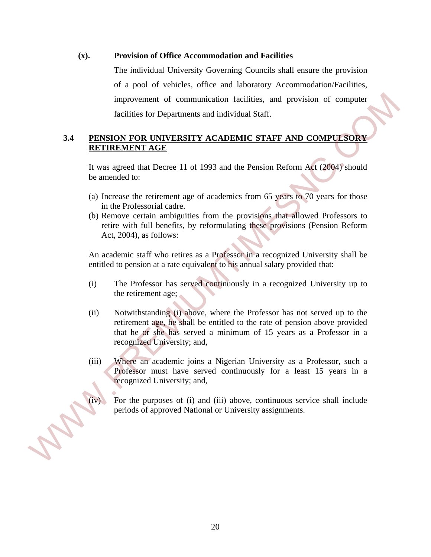### **(x). Provision of Office Accommodation and Facilities**

The individual University Governing Councils shall ensure the provision of a pool of vehicles, office and laboratory Accommodation/Facilities, improvement of communication facilities, and provision of computer facilities for Departments and individual Staff.

### **3.4 PENSION FOR UNIVERSITY ACADEMIC STAFF AND COMPULSORY RETIREMENT AGE**

It was agreed that Decree 11 of 1993 and the Pension Reform Act (2004) should be amended to:

- (a) Increase the retirement age of academics from 65 years to 70 years for those in the Professorial cadre.
- (b) Remove certain ambiguities from the provisions that allowed Professors to retire with full benefits, by reformulating these provisions (Pension Reform Act, 2004), as follows:

An academic staff who retires as a Professor in a recognized University shall be entitled to pension at a rate equivalent to his annual salary provided that:

- (i) The Professor has served continuously in a recognized University up to the retirement age;
- (ii) Notwithstanding (i) above, where the Professor has not served up to the retirement age, he shall be entitled to the rate of pension above provided that he or she has served a minimum of 15 years as a Professor in a recognized University; and, improvement of communication facilities, and provision of compute<br>facilities for Departments and individual Staff.<br>
METIREMENT AGE<br>
EVERIGN FOR UNIVERSITY ACADEMIC STAFF AND COMPUESORY<br>
EVERIGNMENT AGE<br>
It was agreed that
	- (iii) Where an academic joins a Nigerian University as a Professor, such a Professor must have served continuously for a least 15 years in a recognized University; and,
	- For the purposes of (i) and (iii) above, continuous service shall include periods of approved National or University assignments.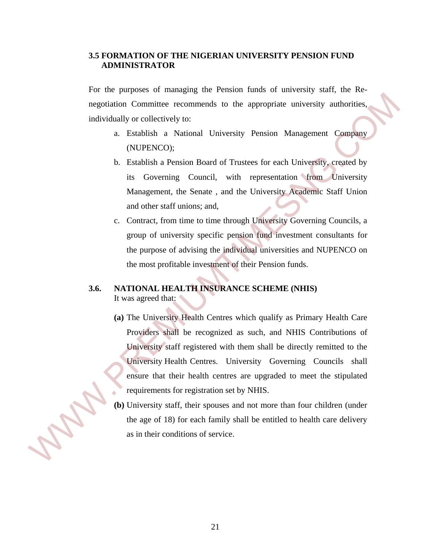### **3.5 FORMATION OF THE NIGERIAN UNIVERSITY PENSION FUND ADMINISTRATOR**

For the purposes of managing the Pension funds of university staff, the Renegotiation Committee recommends to the appropriate university authorities, individually or collectively to:

- a. Establish a National University Pension Management Company (NUPENCO);
- b. Establish a Pension Board of Trustees for each University, created by its Governing Council, with representation from University Management, the Senate , and the University Academic Staff Union and other staff unions; and,
- c. Contract, from time to time through University Governing Councils, a group of university specific pension fund investment consultants for the purpose of advising the individual universities and NUPENCO on the most profitable investment of their Pension funds.

### **3.6. NATIONAL HEALTH INSURANCE SCHEME (NHIS)** It was agreed that:

- **(a)** The University Health Centres which qualify as Primary Health Care Providers shall be recognized as such, and NHIS Contributions of University staff registered with them shall be directly remitted to the University Health Centres. University Governing Councils shall ensure that their health centres are upgraded to meet the stipulated requirements for registration set by NHIS. regotiation Committee recommends to the appropriate university authorities,<br>individually or collectively to:<br>a. Issuehisla a Pension Round Chiversity Pension Management Company<br>MUPENCO):<br>b. Feathbisla a Pension Round of Tr
	- **(b)** University staff, their spouses and not more than four children (under the age of 18) for each family shall be entitled to health care delivery as in their conditions of service.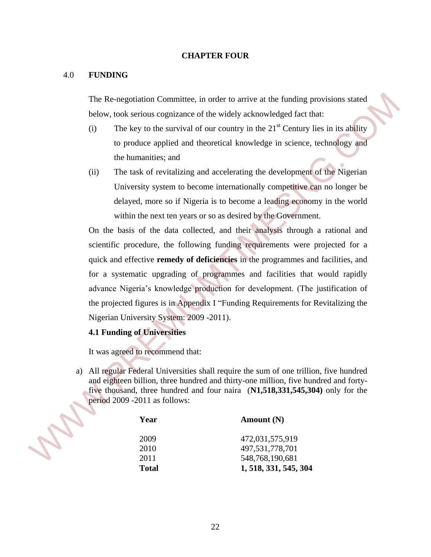### **CHAPTER FOUR**

### 4.0 **FUNDING**

The Re-negotiation Committee, in order to arrive at the funding provisions stated below, took serious cognizance of the widely acknowledged fact that:

- (i) The key to the survival of our country in the  $21<sup>st</sup>$  Century lies in its ability to produce applied and theoretical knowledge in science, technology and the humanities; and
- (ii) The task of revitalizing and accelerating the development of the Nigerian University system to become internationally competitive can no longer be delayed, more so if Nigeria is to become a leading economy in the world within the next ten years or so as desired by the Government.

 On the basis of the data collected, and their analysis through a rational and scientific procedure, the following funding requirements were projected for a quick and effective **remedy of deficiencies** in the programmes and facilities, and for a systematic upgrading of programmes and facilities that would rapidly advance Nigeria's knowledge production for development. (The justification of the projected figures is in Appendix I "Funding Requirements for Revitalizing the Nigerian University System: 2009 -2011). The Re-negotiation Committee, in order to arrive at the funding provisions stated<br>
below, took scribus organizates of the widely achoustedded fact that:<br>
(i) The key to the survival of our country in the 21<sup>st</sup> Century lie

### **4.1 Funding of Universities**

It was agreed to recommend that:

a) All regular Federal Universities shall require the sum of one trillion, five hundred and eighteen billion, three hundred and thirty-one million, five hundred and fortyfive thousand, three hundred and four naira (**N1,518,331,545,304)** only for the period 2009 -2011 as follows:

| Year         | Amount $(N)$          |
|--------------|-----------------------|
| 2009         | 472,031,575,919       |
| 2010         | 497,531,778,701       |
| 2011         | 548,768,190,681       |
| <b>Total</b> | 1, 518, 331, 545, 304 |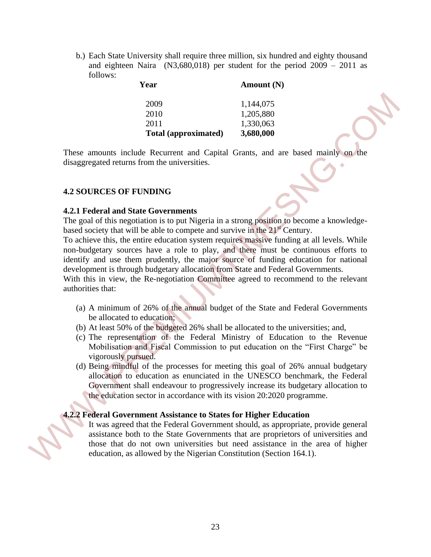b.) Each State University shall require three million, six hundred and eighty thousand and eighteen Naira (N3,680,018) per student for the period 2009 – 2011 as follows:

| л сат                | $\boldsymbol{\Lambda}$ <i>Muodhit</i> (19) |
|----------------------|--------------------------------------------|
| 2009                 | 1,144,075                                  |
| 2010                 | 1,205,880                                  |
| 2011                 | 1,330,063                                  |
| Total (approximated) | 3,680,000                                  |

**Year Amount (N)** 

These amounts include Recurrent and Capital Grants, and are based mainly on the disaggregated returns from the universities.

### **4.2 SOURCES OF FUNDING**

### **4.2.1 Federal and State Governments**

The goal of this negotiation is to put Nigeria in a strong position to become a knowledgebased society that will be able to compete and survive in the  $21<sup>st</sup>$  Century.

To achieve this, the entire education system requires massive funding at all levels. While non-budgetary sources have a role to play, and there must be continuous efforts to identify and use them prudently, the major source of funding education for national development is through budgetary allocation from State and Federal Governments. 2009<br>
2010 11.144.075<br>
2010 11.144.075<br>
2011 12.05.880<br>
2011 16.3840,000<br>
These amounts include Recurrent and Capital Grans, and are based mainly on the<br>
disaggregated returns from the universities.<br>
4.2 SOURCES OF FUNDIN

With this in view, the Re-negotiation Committee agreed to recommend to the relevant authorities that:

- (a) A minimum of 26% of the annual budget of the State and Federal Governments be allocated to education;
- (b) At least 50% of the budgeted 26% shall be allocated to the universities; and,
- (c) The representation of the Federal Ministry of Education to the Revenue Mobilisation and Fiscal Commission to put education on the "First Charge" be vigorously pursued.
- (d) Being mindful of the processes for meeting this goal of 26% annual budgetary allocation to education as enunciated in the UNESCO benchmark, the Federal Government shall endeavour to progressively increase its budgetary allocation to the education sector in accordance with its vision 20:2020 programme.

### **4.2.2 Federal Government Assistance to States for Higher Education**

It was agreed that the Federal Government should, as appropriate, provide general assistance both to the State Governments that are proprietors of universities and those that do not own universities but need assistance in the area of higher education, as allowed by the Nigerian Constitution (Section 164.1).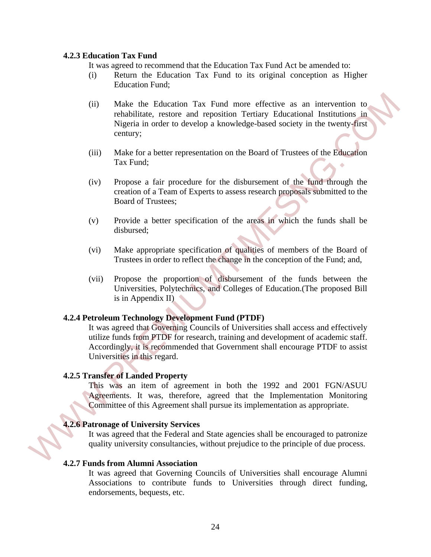### **4.2.3 Education Tax Fund**

It was agreed to recommend that the Education Tax Fund Act be amended to:

- (i) Return the Education Tax Fund to its original conception as Higher Education Fund;
- (ii) Make the Education Tax Fund more effective as an intervention to rehabilitate, restore and reposition Tertiary Educational Institutions in Nigeria in order to develop a knowledge-based society in the twenty-first century;
- (iii) Make for a better representation on the Board of Trustees of the Education Tax Fund;
- (iv) Propose a fair procedure for the disbursement of the fund through the creation of a Team of Experts to assess research proposals submitted to the Board of Trustees;
- (v) Provide a better specification of the areas in which the funds shall be disbursed;
- (vi) Make appropriate specification of qualities of members of the Board of Trustees in order to reflect the change in the conception of the Fund; and,
- (vii) Propose the proportion of disbursement of the funds between the Universities, Polytechnics, and Colleges of Education.(The proposed Bill is in Appendix II)

### **4.2.4 Petroleum Technology Development Fund (PTDF)**

It was agreed that Governing Councils of Universities shall access and effectively utilize funds from PTDF for research, training and development of academic staff. Accordingly, it is recommended that Government shall encourage PTDF to assist Universities in this regard. (ii) Make the Education Tax Fund more effective as an intervention to relabilitation, resident episodicon Terminum Educational Ensimilations in the set of the Education Tax Fund;<br>
Where for a better representation on the

### **4.2.5 Transfer of Landed Property**

This was an item of agreement in both the 1992 and 2001 FGN/ASUU Agreements. It was, therefore, agreed that the Implementation Monitoring Committee of this Agreement shall pursue its implementation as appropriate.

### **4.2.6 Patronage of University Services**

It was agreed that the Federal and State agencies shall be encouraged to patronize quality university consultancies, without prejudice to the principle of due process.

### **4.2.7 Funds from Alumni Association**

It was agreed that Governing Councils of Universities shall encourage Alumni Associations to contribute funds to Universities through direct funding, endorsements, bequests, etc.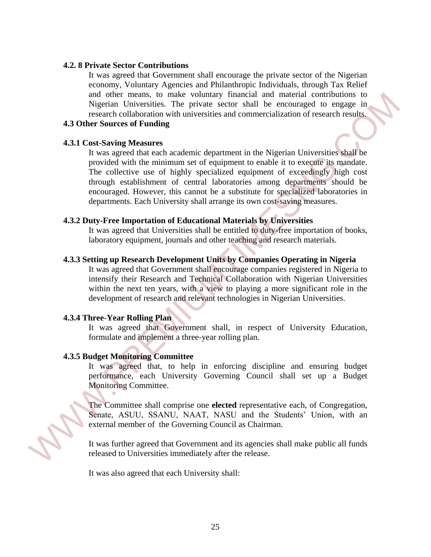### **4.2. 8 Private Sector Contributions**

It was agreed that Government shall encourage the private sector of the Nigerian economy, Voluntary Agencies and Philanthropic Individuals, through Tax Relief and other means, to make voluntary financial and material contributions to Nigerian Universities. The private sector shall be encouraged to engage in research collaboration with universities and commercialization of research results.

### **4.3 Other Sources of Funding**

### **4.3.1 Cost-Saving Measures**

It was agreed that each academic department in the Nigerian Universities shall be provided with the minimum set of equipment to enable it to execute its mandate. The collective use of highly specialized equipment of exceedingly high cost through establishment of central laboratories among departments should be encouraged. However, this cannot be a substitute for specialized laboratories in departments. Each University shall arrange its own cost-saving measures. and other means, to make volume<br>any impact and material contract controllations to measure choices<br>of Nigerian Universides. The private sector shall be encounged to engage in<br>respectively. The meaning of the controllation

### **4.3.2 Duty-Free Importation of Educational Materials by Universities**

It was agreed that Universities shall be entitled to duty-free importation of books, laboratory equipment, journals and other teaching and research materials.

### **4.3.3 Setting up Research Development Units by Companies Operating in Nigeria**

It was agreed that Government shall encourage companies registered in Nigeria to intensify their Research and Technical Collaboration with Nigerian Universities within the next ten years, with a view to playing a more significant role in the development of research and relevant technologies in Nigerian Universities.

### **4.3.4 Three-Year Rolling Plan**

Ì

It was agreed that Government shall, in respect of University Education, formulate and implement a three-year rolling plan.

### **4.3.5 Budget Monitoring Committee**

It was agreed that, to help in enforcing discipline and ensuring budget performance, each University Governing Council shall set up a Budget Monitoring Committee.

The Committee shall comprise one **elected** representative each, of Congregation, Senate, ASUU, SSANU, NAAT, NASU and the Students' Union, with an external member of the Governing Council as Chairman.

It was further agreed that Government and its agencies shall make public all funds released to Universities immediately after the release.

It was also agreed that each University shall: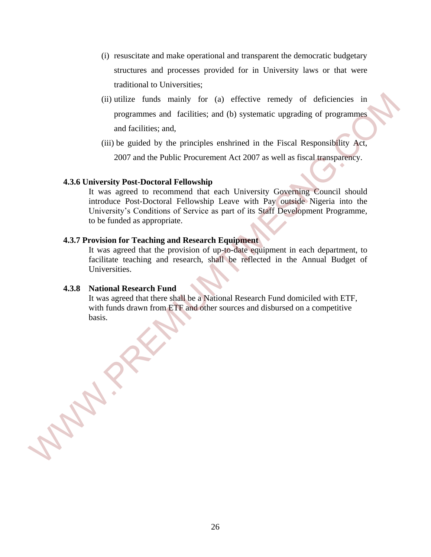- (i) resuscitate and make operational and transparent the democratic budgetary structures and processes provided for in University laws or that were traditional to Universities;
- (ii) utilize funds mainly for (a) effective remedy of deficiencies in programmes and facilities; and (b) systematic upgrading of programmes and facilities; and,
- (iii) be guided by the principles enshrined in the Fiscal Responsibility Act, 2007 and the Public Procurement Act 2007 as well as fiscal transparency.

### **4.3.6 University Post-Doctoral Fellowship**

It was agreed to recommend that each University Governing Council should introduce Post-Doctoral Fellowship Leave with Pay outside Nigeria into the University's Conditions of Service as part of its Staff Development Programme, to be funded as appropriate. (ii) utilize funds mainly for (a) effective remedy of deficiencies in<br>programmes and racilities; and (b) systematic upgrading of programmes<br>and facilities; and,<br>(iii) be guided by the principles enshrined in the Fiscal Re

### **4.3.7 Provision for Teaching and Research Equipment**

It was agreed that the provision of up-to-date equipment in each department, to facilitate teaching and research, shall be reflected in the Annual Budget of Universities.

### **4.3.8 National Research Fund**

It was agreed that there shall be a National Research Fund domiciled with ETF, with funds drawn from ETF and other sources and disbursed on a competitive basis.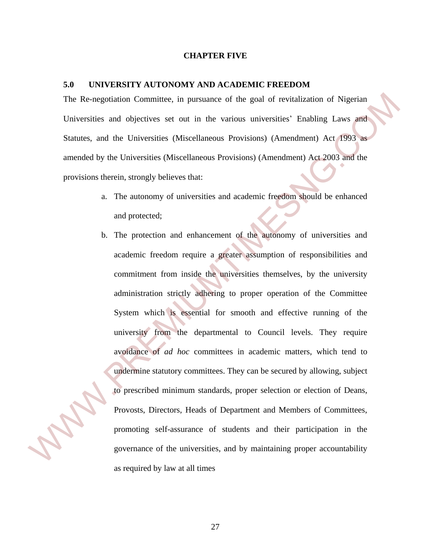### **CHAPTER FIVE**

### **5.0 UNIVERSITY AUTONOMY AND ACADEMIC FREEDOM**

The Re-negotiation Committee, in pursuance of the goal of revitalization of Nigerian Universities and objectives set out in the various universities' Enabling Laws and Statutes, and the Universities (Miscellaneous Provisions) (Amendment) Act 1993 as amended by the Universities (Miscellaneous Provisions) (Amendment) Act 2003 and the provisions therein, strongly believes that:

- a. The autonomy of universities and academic freedom should be enhanced and protected;
- b. The protection and enhancement of the autonomy of universities and academic freedom require a greater assumption of responsibilities and commitment from inside the universities themselves, by the university administration strictly adhering to proper operation of the Committee System which is essential for smooth and effective running of the university from the departmental to Council levels. They require avoidance of *ad hoc* committees in academic matters, which tend to undermine statutory committees. They can be secured by allowing, subject to prescribed minimum standards, proper selection or election of Deans, Provosts, Directors, Heads of Department and Members of Committees, promoting self-assurance of students and their participation in the governance of the universities, and by maintaining proper accountability The Re-negotiation Committee, in pursuance of the goal of revitalization of Nigerian<br>Universities and dipictives set out in the various universities' Emabling Laws and<br>Statutes, and the Universities (Miscellaneous Provisio as required by law at all times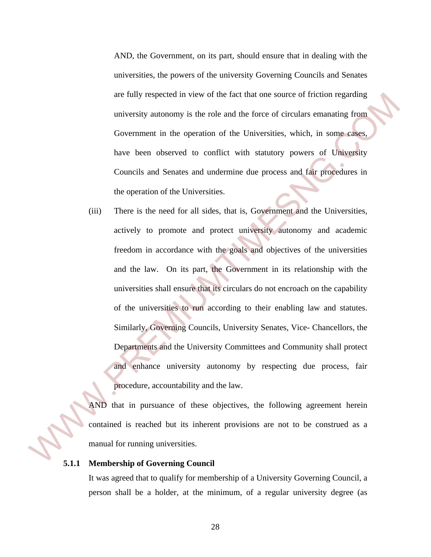AND, the Government, on its part, should ensure that in dealing with the universities, the powers of the university Governing Councils and Senates are fully respected in view of the fact that one source of friction regarding university autonomy is the role and the force of circulars emanating from Government in the operation of the Universities, which, in some cases, have been observed to conflict with statutory powers of University Councils and Senates and undermine due process and fair procedures in the operation of the Universities.

(iii) There is the need for all sides, that is, Government and the Universities, actively to promote and protect university autonomy and academic freedom in accordance with the goals and objectives of the universities and the law. On its part, the Government in its relationship with the universities shall ensure that its circulars do not encroach on the capability of the universities to run according to their enabling law and statutes. Similarly, Governing Councils, University Senates, Vice- Chancellors, the Departments and the University Committees and Community shall protect and enhance university autonomy by respecting due process, fair procedure, accountability and the law. are fully respected in view of the fact that one source of friction regarding<br>university autonomy is the role and the force of circulars emanating from<br>Government in the operation of the Universities, which, in some cases,

AND that in pursuance of these objectives, the following agreement herein contained is reached but its inherent provisions are not to be construed as a manual for running universities.

### **5.1.1 Membership of Governing Council**

It was agreed that to qualify for membership of a University Governing Council, a person shall be a holder, at the minimum, of a regular university degree (as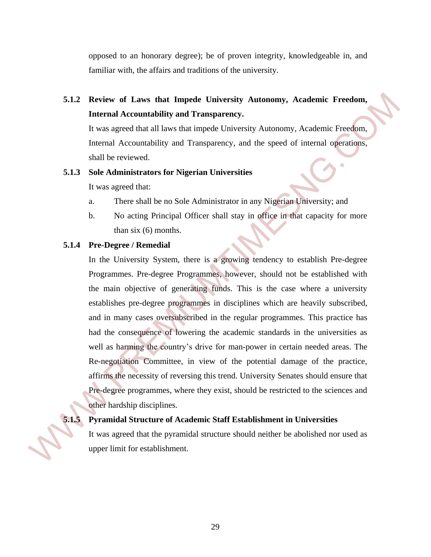opposed to an honorary degree); be of proven integrity, knowledgeable in, and familiar with, the affairs and traditions of the university.

## **5.1.2 Review of Laws that Impede University Autonomy, Academic Freedom, Internal Accountability and Transparency.**

It was agreed that all laws that impede University Autonomy, Academic Freedom, Internal Accountability and Transparency, and the speed of internal operations, shall be reviewed.

### **5.1.3 Sole Administrators for Nigerian Universities**

It was agreed that:

- a. There shall be no Sole Administrator in any Nigerian University; and
- b. No acting Principal Officer shall stay in office in that capacity for more than six (6) months.

### **5.1.4 Pre-Degree / Remedial**

In the University System, there is a growing tendency to establish Pre-degree Programmes. Pre-degree Programmes, however, should not be established with the main objective of generating funds. This is the case where a university establishes pre-degree programmes in disciplines which are heavily subscribed, and in many cases oversubscribed in the regular programmes. This practice has had the consequence of lowering the academic standards in the universities as well as harming the country's drive for man-power in certain needed areas. The Re-negotiation Committee, in view of the potential damage of the practice, affirms the necessity of reversing this trend. University Senates should ensure that Pre-degree programmes, where they exist, should be restricted to the sciences and other hardship disciplines. 5.1.2 Review of Laws that Impede University Antonomy, Academic Freedom,<br>
Internal Accountability and Transparency.<br>
If was agreed that all laws that impede University Autonomy, Academic Freedom,<br>
Internal Accountability a

### **5.1.5 Pyramidal Structure of Academic Staff Establishment in Universities**

It was agreed that the pyramidal structure should neither be abolished nor used as upper limit for establishment.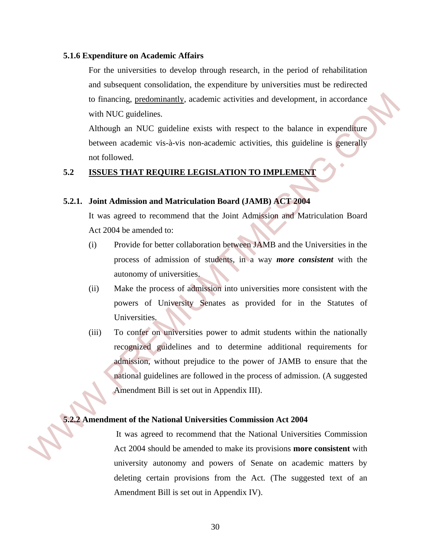### **5.1.6 Expenditure on Academic Affairs**

For the universities to develop through research, in the period of rehabilitation and subsequent consolidation, the expenditure by universities must be redirected to financing, predominantly, academic activities and development, in accordance with NUC guidelines.

Although an NUC guideline exists with respect to the balance in expenditure between academic vis-à-vis non-academic activities, this guideline is generally not followed.

### **5.2 ISSUES THAT REQUIRE LEGISLATION TO IMPLEMENT**

### **5.2.1. Joint Admission and Matriculation Board (JAMB) ACT 2004**

 It was agreed to recommend that the Joint Admission and Matriculation Board Act 2004 be amended to:

- (i) Provide for better collaboration between JAMB and the Universities in the process of admission of students, in a way *more consistent* with the autonomy of universities.
- (ii) Make the process of admission into universities more consistent with the powers of University Senates as provided for in the Statutes of Universities.
- (iii) To confer on universities power to admit students within the nationally recognized guidelines and to determine additional requirements for admission, without prejudice to the power of JAMB to ensure that the national guidelines are followed in the process of admission. (A suggested Amendment Bill is set out in Appendix III). 16 Infinancing, <u>predominantly</u>, academic activities and development, in accordance<br>with NUC guideline exists with respect to the balance in expenditive<br>between academic vis-à-vis non-academic activities, this guideline i

### **5.2.2 Amendment of the National Universities Commission Act 2004**

It was agreed to recommend that the National Universities Commission Act 2004 should be amended to make its provisions **more consistent** with university autonomy and powers of Senate on academic matters by deleting certain provisions from the Act. (The suggested text of an Amendment Bill is set out in Appendix IV).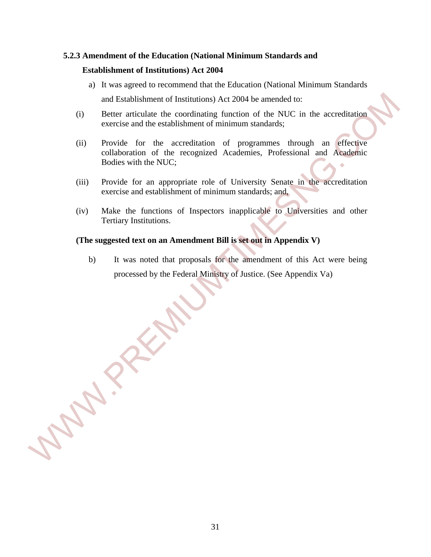### **5.2.3 Amendment of the Education (National Minimum Standards and Establishment of Institutions) Act 2004**

- a) It was agreed to recommend that the Education (National Minimum Standards and Establishment of Institutions) Act 2004 be amended to:
- (i) Better articulate the coordinating function of the NUC in the accreditation exercise and the establishment of minimum standards;
- (ii) Provide for the accreditation of programmes through an effective collaboration of the recognized Academies, Professional and Academic Bodies with the NUC; and Establishment of Institutions) Act 2004 be amended to:<br>
(i) Better aritwitate the coordinating function of the NUC in the accreditation<br>
evertise and the establishment of minimum standards;<br>
(ii) Provide for the accred
	- (iii) Provide for an appropriate role of University Senate in the accreditation exercise and establishment of minimum standards; and,
	- (iv) Make the functions of Inspectors inapplicable to Universities and other Tertiary Institutions.

### **(The suggested text on an Amendment Bill is set out in Appendix V)**

b) It was noted that proposals for the amendment of this Act were being processed by the Federal Ministry of Justice. (See Appendix Va)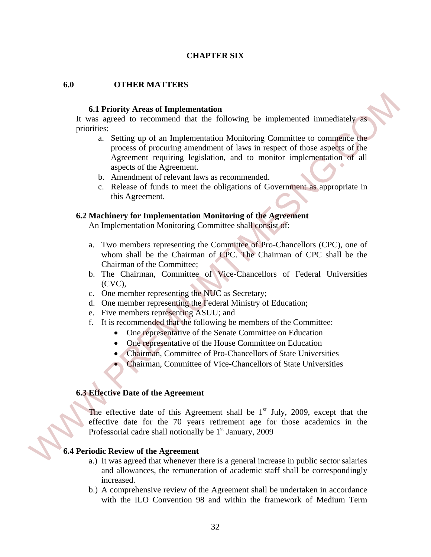### **CHAPTER SIX**

### **6.0 OTHER MATTERS**

### **6.1 Priority Areas of Implementation**

It was agreed to recommend that the following be implemented immediately as priorities:

- a. Setting up of an Implementation Monitoring Committee to commence the process of procuring amendment of laws in respect of those aspects of the Agreement requiring legislation, and to monitor implementation of all aspects of the Agreement. 6.1 Priority Areas of Implementation<br>
It was agreed to recommend that the following be implemented inmediately as<br>
proceding. Setting up of an Implementation Monitoring Continues to communical<br>
process of precuring areadm
	- b. Amendment of relevant laws as recommended.
	- c. Release of funds to meet the obligations of Government as appropriate in this Agreement.

### **6.2 Machinery for Implementation Monitoring of the Agreement**

An Implementation Monitoring Committee shall consist of:

- a. Two members representing the Committee of Pro-Chancellors (CPC), one of whom shall be the Chairman of CPC. The Chairman of CPC shall be the Chairman of the Committee;
- b. The Chairman, Committee of Vice-Chancellors of Federal Universities (CVC),
- c. One member representing the NUC as Secretary;
- d. One member representing the Federal Ministry of Education;
- e. Five members representing ASUU; and
- f. It is recommended that the following be members of the Committee:
	- One representative of the Senate Committee on Education
	- One representative of the House Committee on Education
	- Chairman, Committee of Pro-Chancellors of State Universities
	- Chairman, Committee of Vice-Chancellors of State Universities

### **6.3 Effective Date of the Agreement**

The effective date of this Agreement shall be  $1<sup>st</sup>$  July, 2009, except that the effective date for the 70 years retirement age for those academics in the Professorial cadre shall notionally be  $1<sup>st</sup>$  January, 2009

### **6.4 Periodic Review of the Agreement**

- a.) It was agreed that whenever there is a general increase in public sector salaries and allowances, the remuneration of academic staff shall be correspondingly increased.
- b.) A comprehensive review of the Agreement shall be undertaken in accordance with the ILO Convention 98 and within the framework of Medium Term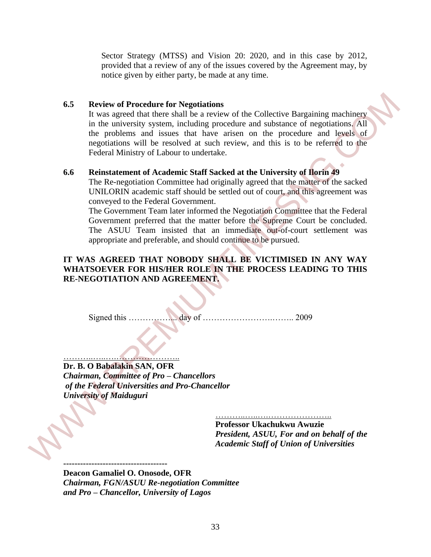Sector Strategy (MTSS) and Vision 20: 2020, and in this case by 2012, provided that a review of any of the issues covered by the Agreement may, by notice given by either party, be made at any time.

### **6.5 Review of Procedure for Negotiations**

It was agreed that there shall be a review of the Collective Bargaining machinery in the university system, including procedure and substance of negotiations. All the problems and issues that have arisen on the procedure and levels of negotiations will be resolved at such review, and this is to be referred to the Federal Ministry of Labour to undertake. 6.5 Review of Procedure for Negotiations<br>
It was agreed that there shall be a review of the Collective Bargaiaing machinery<br>
in the university system, including procedure and substance of negotiations. All<br>
the problems a

### **6.6 Reinstatement of Academic Staff Sacked at the University of Ilorin 49**

The Re-negotiation Committee had originally agreed that the matter of the sacked UNILORIN academic staff should be settled out of court, and this agreement was conveyed to the Federal Government.

The Government Team later informed the Negotiation Committee that the Federal Government preferred that the matter before the Supreme Court be concluded. The ASUU Team insisted that an immediate out-of-court settlement was appropriate and preferable, and should continue to be pursued.

### **IT WAS AGREED THAT NOBODY SHALL BE VICTIMISED IN ANY WAY WHATSOEVER FOR HIS/HER ROLE IN THE PROCESS LEADING TO THIS RE-NEGOTIATION AND AGREEMENT.**

Signed this ……………... day of …………………….…….. 2009

### ………..…..….………………….. **Dr. B. O Babalakin SAN, OFR**

*Chairman, Committee of Pro – Chancellors of the Federal Universities and Pro-Chancellor University of Maiduguri*

……………………………

**Professor Ukachukwu Awuzie**  *President, ASUU, For and on behalf of the Academic Staff of Union of Universities* 

**------------------------------------- Deacon Gamaliel O. Onosode, OFR**  *Chairman, FGN/ASUU Re-negotiation Committee and Pro – Chancellor, University of Lagos*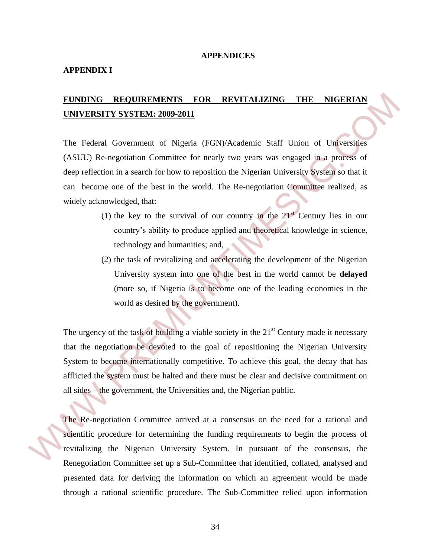### **APPENDICES**

### **APPENDIX I**

### **FUNDING REQUIREMENTS FOR REVITALIZING THE NIGERIAN UNIVERSITY SYSTEM: 2009-2011**

The Federal Government of Nigeria (FGN)/Academic Staff Union of Universities (ASUU) Re-negotiation Committee for nearly two years was engaged in a process of deep reflection in a search for how to reposition the Nigerian University System so that it can become one of the best in the world. The Re-negotiation Committee realized, as widely acknowledged, that:

- (1) the key to the survival of our country in the  $21<sup>st</sup>$  Century lies in our country's ability to produce applied and theoretical knowledge in science, technology and humanities; and,
- (2) the task of revitalizing and accelerating the development of the Nigerian University system into one of the best in the world cannot be **delayed** (more so, if Nigeria is to become one of the leading economies in the world as desired by the government).

The urgency of the task of building a viable society in the  $21<sup>st</sup>$  Century made it necessary that the negotiation be devoted to the goal of repositioning the Nigerian University System to become internationally competitive. To achieve this goal, the decay that has afflicted the system must be halted and there must be clear and decisive commitment on all sides – the government, the Universities and, the Nigerian public. **EUNDING REOUIREMENTS FOR REVITALIZING THE NIGERIAN**<br> **ENIVERSITY SYSTEM: 2009-2011**<br>
The Federal Government of Nigeria (FGN)/Academic Staff Union of Universities<br>
(ASUU) Re-negotiation Committee for nearly two years was

The Re-negotiation Committee arrived at a consensus on the need for a rational and scientific procedure for determining the funding requirements to begin the process of revitalizing the Nigerian University System. In pursuant of the consensus, the Renegotiation Committee set up a Sub-Committee that identified, collated, analysed and presented data for deriving the information on which an agreement would be made through a rational scientific procedure. The Sub-Committee relied upon information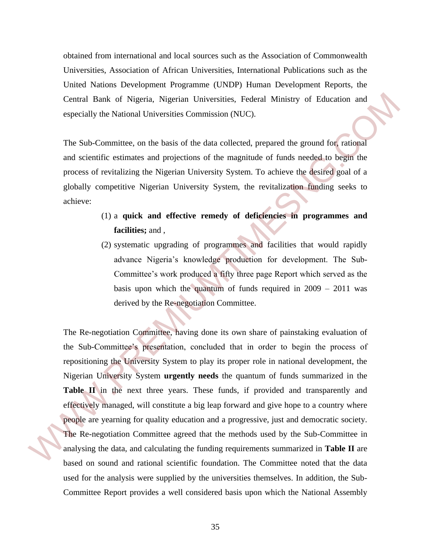obtained from international and local sources such as the Association of Commonwealth Universities, Association of African Universities, International Publications such as the United Nations Development Programme (UNDP) Human Development Reports, the Central Bank of Nigeria, Nigerian Universities, Federal Ministry of Education and especially the National Universities Commission (NUC).

The Sub-Committee, on the basis of the data collected, prepared the ground for, rational and scientific estimates and projections of the magnitude of funds needed to begin the process of revitalizing the Nigerian University System. To achieve the desired goal of a globally competitive Nigerian University System, the revitalization funding seeks to achieve:

- (1) a **quick and effective remedy of deficiencies in programmes and facilities;** and ,
- (2) systematic upgrading of programmes and facilities that would rapidly advance Nigeria's knowledge production for development. The Sub-Committee's work produced a fifty three page Report which served as the basis upon which the quantum of funds required in 2009 – 2011 was derived by the Re-negotiation Committee.

The Re-negotiation Committee, having done its own share of painstaking evaluation of the Sub-Committee's presentation, concluded that in order to begin the process of repositioning the University System to play its proper role in national development, the Nigerian University System **urgently needs** the quantum of funds summarized in the Table II in the next three years. These funds, if provided and transparently and effectively managed, will constitute a big leap forward and give hope to a country where people are yearning for quality education and a progressive, just and democratic society. The Re-negotiation Committee agreed that the methods used by the Sub-Committee in analysing the data, and calculating the funding requirements summarized in **Table II** are based on sound and rational scientific foundation. The Committee noted that the data used for the analysis were supplied by the universities themselves. In addition, the Sub-Committee Report provides a well considered basis upon which the National Assembly Central Bank of Nigeria, Nigerian Universities, Federal Ministry of Education and<br>especially the National Universites Commission (NUC).<br>The Sub-Committee, on the basis of the data collected, prepared the ground for cation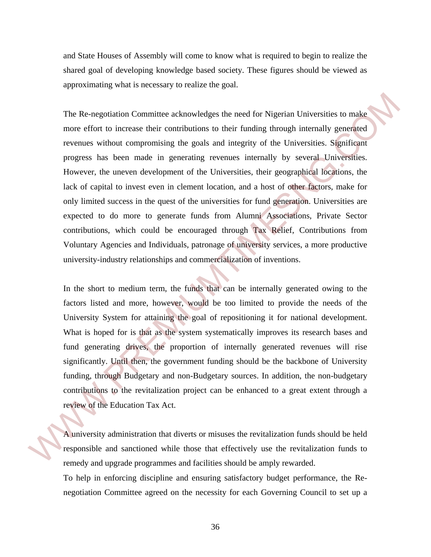and State Houses of Assembly will come to know what is required to begin to realize the shared goal of developing knowledge based society. These figures should be viewed as approximating what is necessary to realize the goal.

The Re-negotiation Committee acknowledges the need for Nigerian Universities to make more effort to increase their contributions to their funding through internally generated revenues without compromising the goals and integrity of the Universities. Significant progress has been made in generating revenues internally by several Universities. However, the uneven development of the Universities, their geographical locations, the lack of capital to invest even in clement location, and a host of other factors, make for only limited success in the quest of the universities for fund generation. Universities are expected to do more to generate funds from Alumni Associations, Private Sector contributions, which could be encouraged through Tax Relief, Contributions from Voluntary Agencies and Individuals, patronage of university services, a more productive university-industry relationships and commercialization of inventions. The Re-negotiation Conmittee acknowledges the need for Nigerian Universities to make<br>more effort to increase their contributions to their finding through internally generated<br>revenues without compromising the goals and int

In the short to medium term, the funds that can be internally generated owing to the factors listed and more, however, would be too limited to provide the needs of the University System for attaining the goal of repositioning it for national development. What is hoped for is that as the system systematically improves its research bases and fund generating drives, the proportion of internally generated revenues will rise significantly. Until then, the government funding should be the backbone of University funding, through Budgetary and non-Budgetary sources. In addition, the non-budgetary contributions to the revitalization project can be enhanced to a great extent through a review of the Education Tax Act.

A university administration that diverts or misuses the revitalization funds should be held responsible and sanctioned while those that effectively use the revitalization funds to remedy and upgrade programmes and facilities should be amply rewarded.

To help in enforcing discipline and ensuring satisfactory budget performance, the Renegotiation Committee agreed on the necessity for each Governing Council to set up a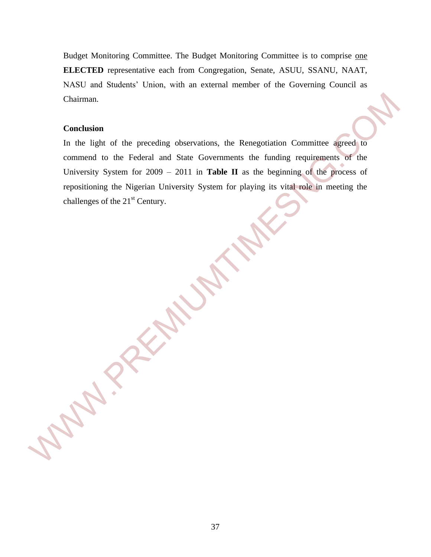Budget Monitoring Committee. The Budget Monitoring Committee is to comprise one **ELECTED** representative each from Congregation, Senate, ASUU, SSANU, NAAT, NASU and Students' Union, with an external member of the Governing Council as Chairman.

### **Conclusion**

In the light of the preceding observations, the Renegotiation Committee agreed to commend to the Federal and State Governments the funding requirements of the University System for 2009 – 2011 in **Table II** as the beginning of the process of repositioning the Nigerian University System for playing its vital role in meeting the challenges of the 21<sup>st</sup> Century. Charlman.<br>
Conclusion<br>
In the light of the preceding observations, the Renegotiation Committee agreed to<br>
comment to the Federal and State Governments the funding requirements of the<br>
University System for 2009 – 2011 in T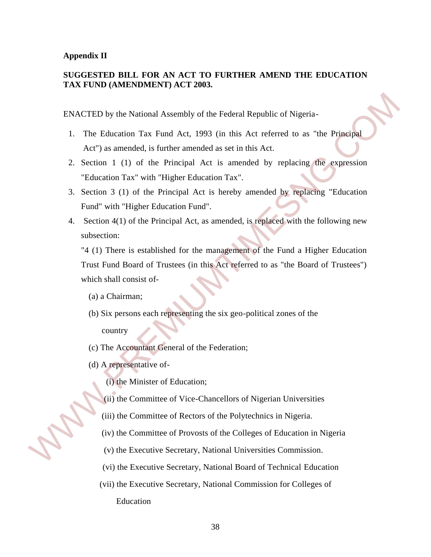### **Appendix II**

### **SUGGESTED BILL FOR AN ACT TO FURTHER AMEND THE EDUCATION TAX FUND (AMENDMENT) ACT 2003.**

ENACTED by the National Assembly of the Federal Republic of Nigeria-

- 1. The Education Tax Fund Act, 1993 (in this Act referred to as "the Principal Act") as amended, is further amended as set in this Act.
- 2. Section 1 (1) of the Principal Act is amended by replacing the expression "Education Tax" with "Higher Education Tax".
- 3. Section 3 (1) of the Principal Act is hereby amended by replacing "Education Fund" with "Higher Education Fund".
- 4. Section 4(1) of the Principal Act, as amended, is replaced with the following new subsection:

"4 (1) There is established for the management of the Fund a Higher Education Trust Fund Board of Trustees (in this Act referred to as "the Board of Trustees") which shall consist of- ENACTED by the National Assembly of the Federal Republic of Nigeria-<br>
1. The Education Tax Fund Act, 1993 (in this Act referred to as "the Principal<br>
Act") as amended, is further amended as set in this Act.<br>
2. Section 1

- (a) a Chairman;
- (b) Six persons each representing the six geo-political zones of the country
- (c) The Accountant General of the Federation;
- (d) A representative of-
	- (i) the Minister of Education;
	- (ii) the Committee of Vice-Chancellors of Nigerian Universities
	- (iii) the Committee of Rectors of the Polytechnics in Nigeria.
	- (iv) the Committee of Provosts of the Colleges of Education in Nigeria
	- (v) the Executive Secretary, National Universities Commission.
	- (vi) the Executive Secretary, National Board of Technical Education
	- (vii) the Executive Secretary, National Commission for Colleges of Education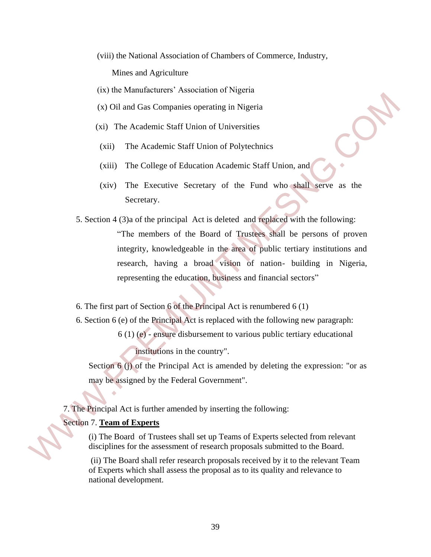(viii) the National Association of Chambers of Commerce, Industry,

Mines and Agriculture

- (ix) the Manufacturers' Association of Nigeria
- (x) Oil and Gas Companies operating in Nigeria
- (xi) The Academic Staff Union of Universities
- (xii) The Academic Staff Union of Polytechnics
- (xiii) The College of Education Academic Staff Union, and
- (xiv) The Executive Secretary of the Fund who shall serve as the Secretary.
- 5. Section 4 (3)a of the principal Act is deleted and replaced with the following: "The members of the Board of Trustees shall be persons of proven integrity, knowledgeable in the area of public tertiary institutions and research, having a broad vision of nation- building in Nigeria, representing the education, business and financial sectors" (x) Oil and Gas Companies operating in Nigeria<br>
(x) Oil and Gas Companies operating in Nigeria<br>
(xii) The Academic Staff Union of Polytechnics<br>
(xii) The College of Education Academic Staff Union, and<br>
(xiv) The Executive
	- 6. The first part of Section 6 of the Principal Act is renumbered 6 (1)
	- 6. Section 6 (e) of the Principal Act is replaced with the following new paragraph:
		- 6 (1) (e) ensure disbursement to various public tertiary educational institutions in the country".

Section 6 (j) of the Principal Act is amended by deleting the expression: "or as may be assigned by the Federal Government".

7. The Principal Act is further amended by inserting the following:

### Section 7. **Team of Experts**

(i) The Board of Trustees shall set up Teams of Experts selected from relevant disciplines for the assessment of research proposals submitted to the Board.

(ii) The Board shall refer research proposals received by it to the relevant Team of Experts which shall assess the proposal as to its quality and relevance to national development.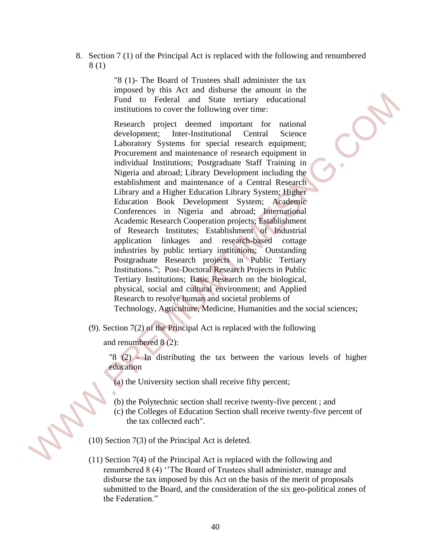8. Section 7 (1) of the Principal Act is replaced with the following and renumbered 8 (1)

> "8 (1)- The Board of Trustees shall administer the tax imposed by this Act and disburse the amount in the Fund to Federal and State tertiary educational institutions to cover the following over time:

Research project deemed important for national development; Inter-Institutional Central Science Laboratory Systems for special research equipment; Procurement and maintenance of research equipment in individual Institutions; Postgraduate Staff Training in Nigeria and abroad; Library Development including the establishment and maintenance of a Central Research Library and a Higher Education Library System; Higher Education Book Development System; Academic Conferences in Nigeria and abroad; International Academic Research Cooperation projects; Establishment of Research Institutes; Establishment of Industrial application linkages and research-based cottage industries by public tertiary institutions; Outstanding Postgraduate Research projects in Public Tertiary Institutions."; Post-Doctoral Research Projects in Public Tertiary Institutions; Basic Research on the biological, physical, social and cultural environment; and Applied Research to resolve human and societal problems of Technology, Agriculture, Medicine, Humanities and the social sciences; Fund tai "Federal and State territory educational<br>
Research project deened inportant for antional<br>
Research project deened inportant for antional<br>
development: Inter-Institutional Central Science<br>
I abbruitry Systems for

(9). Section 7(2) of the Principal Act is replaced with the following

and renumbered 8 (2):

"8 (2) - In distributing the tax between the various levels of higher education

- (a) the University section shall receive fifty percent;
- (b) the Polytechnic section shall receive twenty-five percent ; and
- (c) the Colleges of Education Section shall receive twenty-five percent of the tax collected each".

(10) Section 7(3) of the Principal Act is deleted.

(11) Section 7(4) of the Principal Act is replaced with the following and renumbered 8 (4) ''The Board of Trustees shall administer, manage and disburse the tax imposed by this Act on the basis of the merit of proposals submitted to the Board, and the consideration of the six geo-political zones of the Federation."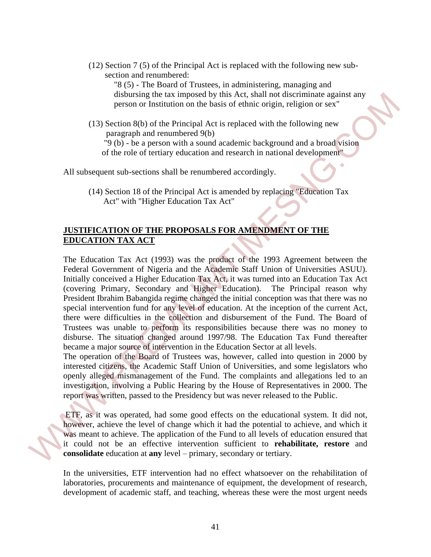(12) Section 7 (5) of the Principal Act is replaced with the following new sub section and renumbered:

"8 (5) - The Board of Trustees, in administering, managing and disbursing the tax imposed by this Act, shall not discriminate against any person or Institution on the basis of ethnic origin, religion or sex"

(13) Section 8(b) of the Principal Act is replaced with the following new paragraph and renumbered 9(b)

 "9 (b) - be a person with a sound academic background and a broad vision of the role of tertiary education and research in national development"

All subsequent sub-sections shall be renumbered accordingly.

(14) Section 18 of the Principal Act is amended by replacing "Education Tax Act" with "Higher Education Tax Act"

### **JUSTIFICATION OF THE PROPOSALS FOR AMENDMENT OF THE EDUCATION TAX ACT**

The Education Tax Act (1993) was the product of the 1993 Agreement between the Federal Government of Nigeria and the Academic Staff Union of Universities ASUU). Initially conceived a Higher Education Tax Act, it was turned into an Education Tax Act (covering Primary, Secondary and Higher Education). The Principal reason why President Ibrahim Babangida regime changed the initial conception was that there was no special intervention fund for any level of education. At the inception of the current Act, there were difficulties in the collection and disbursement of the Fund. The Board of Trustees was unable to perform its responsibilities because there was no money to disburse. The situation changed around 1997/98. The Education Tax Fund thereafter became a major source of intervention in the Education Sector at all levels. dishursing the tax imposed by this Act, shall not discurrimize against any<br>
general or its intuition on the basis of chinic origin, religion or sex<sup>2</sup><br>
(13) Section 8(b) of the Principal Act is replaced with the following

The operation of the Board of Trustees was, however, called into question in 2000 by interested citizens, the Academic Staff Union of Universities, and some legislators who openly alleged mismanagement of the Fund. The complaints and allegations led to an investigation, involving a Public Hearing by the House of Representatives in 2000. The report was written, passed to the Presidency but was never released to the Public.

ETF, as it was operated, had some good effects on the educational system. It did not, however, achieve the level of change which it had the potential to achieve, and which it was meant to achieve. The application of the Fund to all levels of education ensured that it could not be an effective intervention sufficient to **rehabilitate, restore** and **consolidate** education at **any** level – primary, secondary or tertiary.

In the universities, ETF intervention had no effect whatsoever on the rehabilitation of laboratories, procurements and maintenance of equipment, the development of research, development of academic staff, and teaching, whereas these were the most urgent needs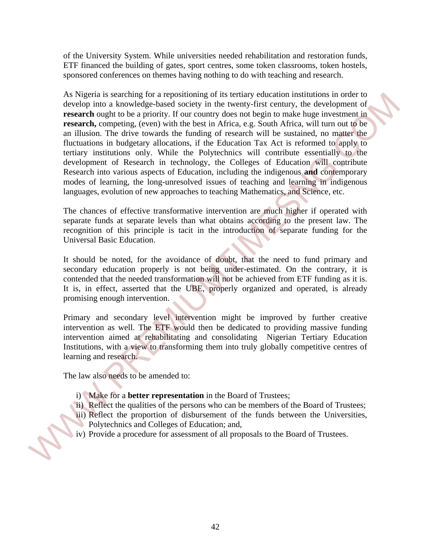of the University System. While universities needed rehabilitation and restoration funds, ETF financed the building of gates, sport centres, some token classrooms, token hostels, sponsored conferences on themes having nothing to do with teaching and research.

As Nigeria is searching for a repositioning of its tertiary education institutions in order to develop into a knowledge-based society in the twenty-first century, the development of **research** ought to be a priority. If our country does not begin to make huge investment in **research,** competing, (even) with the best in Africa, e.g. South Africa, will turn out to be an illusion. The drive towards the funding of research will be sustained, no matter the fluctuations in budgetary allocations, if the Education Tax Act is reformed to apply to tertiary institutions only. While the Polytechnics will contribute essentially to the development of Research in technology, the Colleges of Education will contribute Research into various aspects of Education, including the indigenous **and** contemporary modes of learning, the long-unresolved issues of teaching and learning in indigenous languages, evolution of new approaches to teaching Mathematics, and Science, etc. As Negra is scanching for a represion ong of its terminy chastinon motivations in the control of the specifical control of the specific process of the priori ( $\sim$  10 and  $\sim$  10 and  $\sim$  10 and  $\sim$  10 and  $\sim$  10 and  $\$ 

The chances of effective transformative intervention are much higher if operated with separate funds at separate levels than what obtains according to the present law. The recognition of this principle is tacit in the introduction of separate funding for the Universal Basic Education.

It should be noted, for the avoidance of doubt, that the need to fund primary and secondary education properly is not being under-estimated. On the contrary, it is contended that the needed transformation will not be achieved from ETF funding as it is. It is, in effect, asserted that the UBE, properly organized and operated, is already promising enough intervention.

Primary and secondary level intervention might be improved by further creative intervention as well. The ETF would then be dedicated to providing massive funding intervention aimed at rehabilitating and consolidating Nigerian Tertiary Education Institutions, with a view to transforming them into truly globally competitive centres of learning and research.

The law also needs to be amended to:

- i) Make for a **better representation** in the Board of Trustees;
- ii) Reflect the qualities of the persons who can be members of the Board of Trustees;
- iii) Reflect the proportion of disbursement of the funds between the Universities, Polytechnics and Colleges of Education; and,
- iv) Provide a procedure for assessment of all proposals to the Board of Trustees.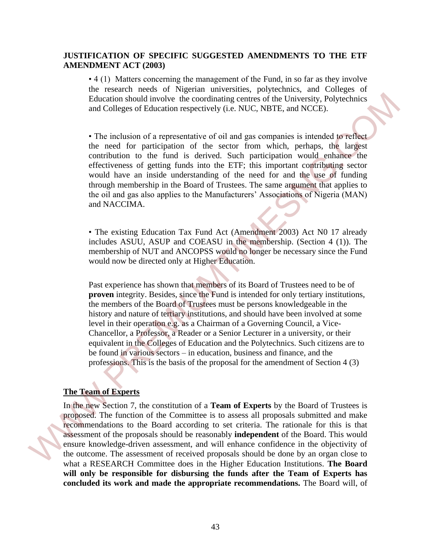### **JUSTIFICATION OF SPECIFIC SUGGESTED AMENDMENTS TO THE ETF AMENDMENT ACT (2003)**

• 4 (1) Matters concerning the management of the Fund, in so far as they involve the research needs of Nigerian universities, polytechnics, and Colleges of Education should involve the coordinating centres of the University, Polytechnics and Colleges of Education respectively (i.e. NUC, NBTE, and NCCE).

• The inclusion of a representative of oil and gas companies is intended to reflect the need for participation of the sector from which, perhaps, the largest contribution to the fund is derived. Such participation would enhance the effectiveness of getting funds into the ETF; this important contributing sector would have an inside understanding of the need for and the use of funding through membership in the Board of Trustees. The same argument that applies to the oil and gas also applies to the Manufacturers' Associations of Nigeria (MAN) and NACCIMA.

• The existing Education Tax Fund Act (Amendment 2003) Act N0 17 already includes ASUU, ASUP and COEASU in the membership. (Section 4 (1)). The membership of NUT and ANCOPSS would no longer be necessary since the Fund would now be directed only at Higher Education.

Past experience has shown that members of its Board of Trustees need to be of **proven** integrity. Besides, since the Fund is intended for only tertiary institutions, the members of the Board of Trustees must be persons knowledgeable in the history and nature of tertiary institutions, and should have been involved at some level in their operation e.g. as a Chairman of a Governing Council, a Vice-Chancellor, a Professor, a Reader or a Senior Lecturer in a university, or their equivalent in the Colleges of Education and the Polytechnics. Such citizens are to be found in various sectors – in education, business and finance, and the professions. This is the basis of the proposal for the amendment of Section 4 (3) Education should involve the contrinuing centres of the University, Polytechnics<br>
and Colleges of Education respectively (*i* o. WIC, WIFT, and NCCE).<br>
The inclusion of a representative of oil and gas companies is introd

### **The Team of Experts**

In the new Section 7, the constitution of a **Team of Experts** by the Board of Trustees is proposed. The function of the Committee is to assess all proposals submitted and make recommendations to the Board according to set criteria. The rationale for this is that assessment of the proposals should be reasonably **independent** of the Board. This would ensure knowledge-driven assessment, and will enhance confidence in the objectivity of the outcome. The assessment of received proposals should be done by an organ close to what a RESEARCH Committee does in the Higher Education Institutions. **The Board will only be responsible for disbursing the funds after the Team of Experts has concluded its work and made the appropriate recommendations.** The Board will, of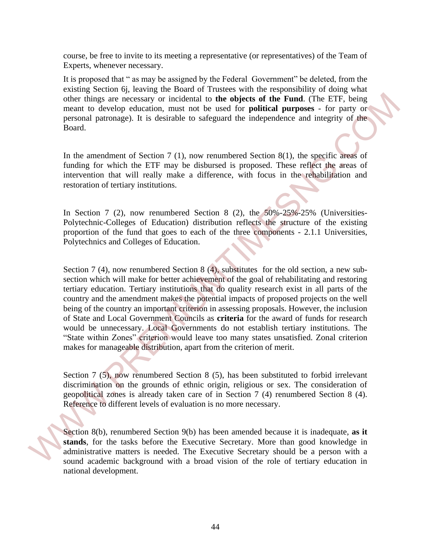course, be free to invite to its meeting a representative (or representatives) of the Team of Experts, whenever necessary.

It is proposed that " as may be assigned by the Federal Government" be deleted, from the existing Section 6j, leaving the Board of Trustees with the responsibility of doing what other things are necessary or incidental to **the objects of the Fund**. (The ETF, being meant to develop education, must not be used for **political purposes** - for party or personal patronage). It is desirable to safeguard the independence and integrity of the Board.

In the amendment of Section 7 (1), now renumbered Section 8(1), the specific areas of funding for which the ETF may be disbursed is proposed. These reflect the areas of intervention that will really make a difference, with focus in the rehabilitation and restoration of tertiary institutions.

In Section 7 (2), now renumbered Section 8 (2), the  $50\% - 25\%$  -25% (Universities-Polytechnic-Colleges of Education) distribution reflects the structure of the existing proportion of the fund that goes to each of the three components - 2.1.1 Universities, Polytechnics and Colleges of Education.

Section 7 (4), now renumbered Section 8 (4), substitutes for the old section, a new subsection which will make for better achievement of the goal of rehabilitating and restoring tertiary education. Tertiary institutions that do quality research exist in all parts of the country and the amendment makes the potential impacts of proposed projects on the well being of the country an important criterion in assessing proposals. However, the inclusion of State and Local Government Councils as **criteria** for the award of funds for research would be unnecessary. Local Governments do not establish tertiary institutions. The "State within Zones" criterion would leave too many states unsatisfied. Zonal criterion makes for manageable distribution, apart from the criterion of merit. other things are recessary or incidental to the objects of the Fund. (The ETF, heing<br>
meant to develop education, must not be used for **political purposes** - for party or<br>
personal partomage.). It is desirable to safegure

Section 7 (5), now renumbered Section 8 (5), has been substituted to forbid irrelevant discrimination on the grounds of ethnic origin, religious or sex. The consideration of geopolitical zones is already taken care of in Section 7 (4) renumbered Section 8 (4). Reference to different levels of evaluation is no more necessary.

Section 8(b), renumbered Section 9(b) has been amended because it is inadequate, **as it stands**, for the tasks before the Executive Secretary. More than good knowledge in administrative matters is needed. The Executive Secretary should be a person with a sound academic background with a broad vision of the role of tertiary education in national development.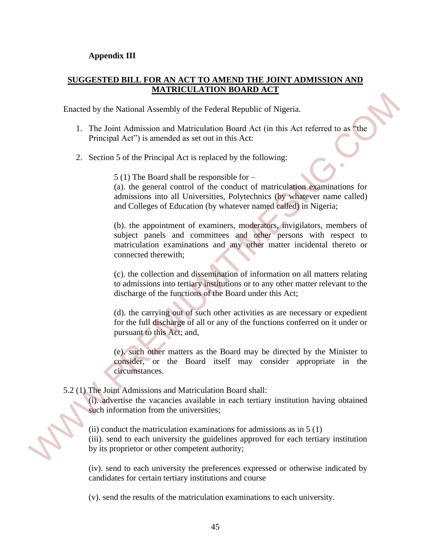### **Appendix III**

### **SUGGESTED BILL FOR AN ACT TO AMEND THE JOINT ADMISSION AND MATRICULATION BOARD ACT**

Enacted by the National Assembly of the Federal Republic of Nigeria.

- 1. The Joint Admission and Matriculation Board Act (in this Act referred to as "the Principal Act") is amended as set out in this Act:
- 2. Section 5 of the Principal Act is replaced by the following:

5 (1) The Board shall be responsible for –

(a). the general control of the conduct of matriculation examinations for admissions into all Universities, Polytechnics (by whatever name called) and Colleges of Education (by whatever named called) in Nigeria;

(b). the appointment of examiners, moderators, invigilators, members of subject panels and committees and other persons with respect to matriculation examinations and any other matter incidental thereto or connected therewith; Financial by the National Assembly of the Federal Republic of Nigeria.<br>
1. The Joint Admission and Matriculation Board Act (in this Act referred to as the Principal Act") is amended as set out in this Act:<br>
2. Section 5 o

(c). the collection and dissemination of information on all matters relating to admissions into tertiary institutions or to any other matter relevant to the discharge of the functions of the Board under this Act;

(d). the carrying out of such other activities as are necessary or expedient for the full discharge of all or any of the functions conferred on it under or pursuant to this Act; and,

(e). such other matters as the Board may be directed by the Minister to consider, or the Board itself may consider appropriate in the circumstances.

### 5.2 (1) The Joint Admissions and Matriculation Board shall:

(i). advertise the vacancies available in each tertiary institution having obtained such information from the universities;

(ii) conduct the matriculation examinations for admissions as in  $5(1)$ 

(iii). send to each university the guidelines approved for each tertiary institution by its proprietor or other competent authority;

(iv). send to each university the preferences expressed or otherwise indicated by candidates for certain tertiary institutions and course

(v). send the results of the matriculation examinations to each university.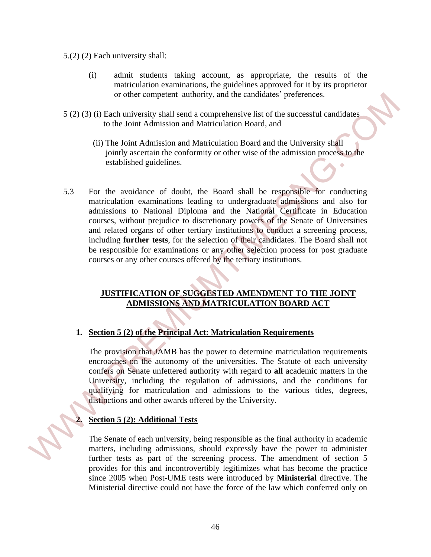- 5.(2) (2) Each university shall:
	- (i) admit students taking account, as appropriate, the results of the matriculation examinations, the guidelines approved for it by its proprietor or other competent authority, and the candidates' preferences.
- 5 (2) (3) (i) Each university shall send a comprehensive list of the successful candidates to the Joint Admission and Matriculation Board, and
	- (ii) The Joint Admission and Matriculation Board and the University shall jointly ascertain the conformity or other wise of the admission process to the established guidelines.
- 5.3 For the avoidance of doubt, the Board shall be responsible for conducting matriculation examinations leading to undergraduate admissions and also for admissions to National Diploma and the National Certificate in Education courses, without prejudice to discretionary powers of the Senate of Universities and related organs of other tertiary institutions to conduct a screening process, including **further tests**, for the selection of their candidates. The Board shall not be responsible for examinations or any other selection process for post graduate courses or any other courses offered by the tertiary institutions. or uther completed authority, and the candednics' preferences.<br>
5.(2) (3) (Beach university shall are all comprehensive list of the successful candidates<br>
in the fouri Admission and Matriculation Board and the University

### **JUSTIFICATION OF SUGGESTED AMENDMENT TO THE JOINT ADMISSIONS AND MATRICULATION BOARD ACT**

### **1. Section 5 (2) of the Principal Act: Matriculation Requirements**

The provision that JAMB has the power to determine matriculation requirements encroaches on the autonomy of the universities. The Statute of each university confers on Senate unfettered authority with regard to **all** academic matters in the University, including the regulation of admissions, and the conditions for qualifying for matriculation and admissions to the various titles, degrees, distinctions and other awards offered by the University.

### **2. Section 5 (2): Additional Tests**

The Senate of each university, being responsible as the final authority in academic matters, including admissions, should expressly have the power to administer further tests as part of the screening process. The amendment of section 5 provides for this and incontrovertibly legitimizes what has become the practice since 2005 when Post-UME tests were introduced by **Ministerial** directive. The Ministerial directive could not have the force of the law which conferred only on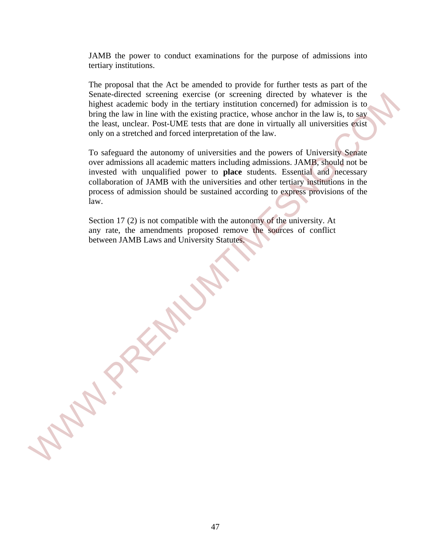JAMB the power to conduct examinations for the purpose of admissions into tertiary institutions.

The proposal that the Act be amended to provide for further tests as part of the Senate-directed screening exercise (or screening directed by whatever is the highest academic body in the tertiary institution concerned) for admission is to bring the law in line with the existing practice, whose anchor in the law is, to say the least, unclear. Post-UME tests that are done in virtually all universities exist only on a stretched and forced interpretation of the law.

To safeguard the autonomy of universities and the powers of University Senate over admissions all academic matters including admissions. JAMB, should not be invested with unqualified power to **place** students. Essential and necessary collaboration of JAMB with the universities and other tertiary institutions in the process of admission should be sustained according to express provisions of the law. Simulate-directed screening exercute (or screening directed by whatever is the physical statement of the law in the with the existing practice, whose anchor in the laws is to say the law. To singular the law in the law si

Section 17 (2) is not compatible with the autonomy of the university. At any rate, the amendments proposed remove the sources of conflict between JAMB Laws and University Statutes.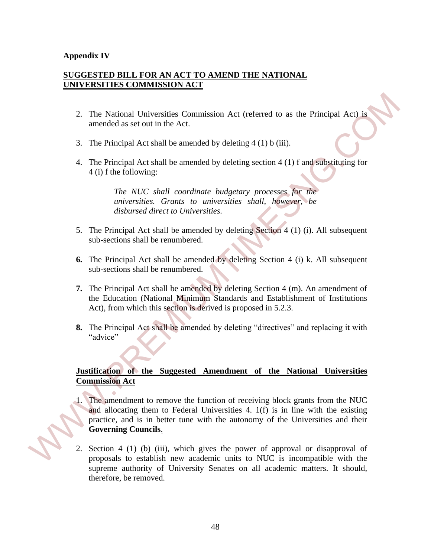### **Appendix IV**

### **SUGGESTED BILL FOR AN ACT TO AMEND THE NATIONAL UNIVERSITIES COMMISSION ACT**

- 2. The National Universities Commission Act (referred to as the Principal Act) is amended as set out in the Act.
- 3. The Principal Act shall be amended by deleting 4 (1) b (iii).
- 4. The Principal Act shall be amended by deleting section 4 (1) f and substituting for 4 (i) f the following:

*The NUC shall coordinate budgetary processes for the universities. Grants to universities shall, however, be disbursed direct to Universities.* 

- 5. The Principal Act shall be amended by deleting Section 4 (1) (i). All subsequent sub-sections shall be renumbered.
- **6.** The Principal Act shall be amended by deleting Section 4 (i) k. All subsequent sub-sections shall be renumbered.
- **7.** The Principal Act shall be amended by deleting Section 4 (m). An amendment of the Education (National Minimum Standards and Establishment of Institutions Act), from which this section is derived is proposed in 5.2.3.
- **8.** The Principal Act shall be amended by deleting "directives" and replacing it with "advice"

### **Justification of the Suggested Amendment of the National Universities Commission Act**

- 1. The amendment to remove the function of receiving block grants from the NUC and allocating them to Federal Universities 4. 1(f) is in line with the existing practice, and is in better tune with the autonomy of the Universities and their **Governing Councils**. 2. The National Universities Commission Act (referred to as the Principal Act) is<br>amended as set out in the Act.<br>
3. The Principal Act shall be amended by deleting 4 (1) b (iii).<br>
4. The Principal Act shall be amended by
	- 2. Section 4 (1) (b) (iii), which gives the power of approval or disapproval of proposals to establish new academic units to NUC is incompatible with the supreme authority of University Senates on all academic matters. It should, therefore, be removed.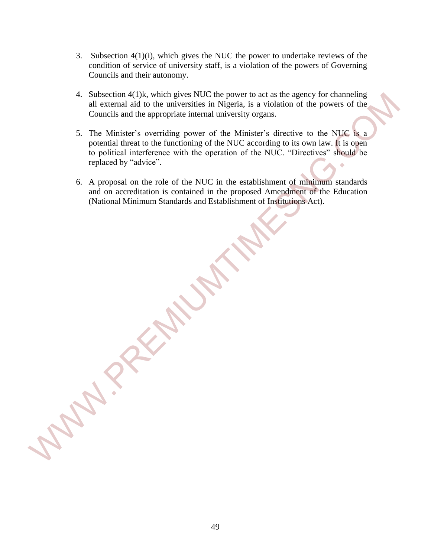- 3. Subsection 4(1)(i), which gives the NUC the power to undertake reviews of the condition of service of university staff, is a violation of the powers of Governing Councils and their autonomy.
- 4. Subsection 4(1)k, which gives NUC the power to act as the agency for channeling all external aid to the universities in Nigeria, is a violation of the powers of the Councils and the appropriate internal university organs.
- 5. The Minister's overriding power of the Minister's directive to the NUC is a potential threat to the functioning of the NUC according to its own law. It is open to political interference with the operation of the NUC. "Directives" should be replaced by "advice". A Subsection 4(1), which gives NIC the power to act as the agency for channeling<br>all external aid to the universities in Nigeria, is a violation of the powers of the<br>Councils and the appropriate intental university organs
	- 6. A proposal on the role of the NUC in the establishment of minimum standards and on accreditation is contained in the proposed Amendment of the Education (National Minimum Standards and Establishment of Institutions Act).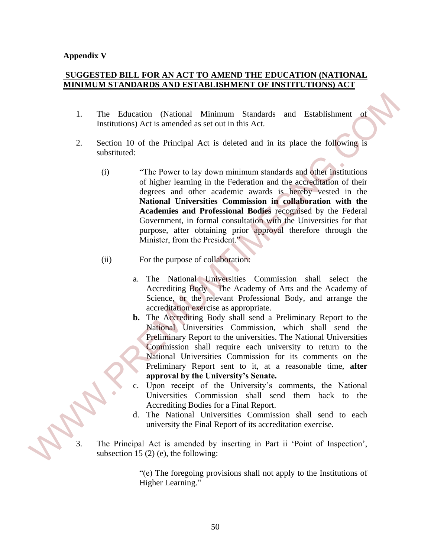### **Appendix V**

### **SUGGESTED BILL FOR AN ACT TO AMEND THE EDUCATION (NATIONAL MINIMUM STANDARDS AND ESTABLISHMENT OF INSTITUTIONS) ACT**

- 1. The Education (National Minimum Standards and Establishment of Institutions) Act is amended as set out in this Act.
- 2. Section 10 of the Principal Act is deleted and in its place the following is substituted:
- (i) "The Power to lay down minimum standards and other institutions of higher learning in the Federation and the accreditation of their degrees and other academic awards is hereby vested in the **National Universities Commission in collaboration with the Academies and Professional Bodies** recognised by the Federal Government, in formal consultation with the Universities for that purpose, after obtaining prior approval therefore through the Minister, from the President." 1. The Education (National Minimum Standards and Establishment of<br>
Institutions) Act is amended as set out in this Act.<br>
2. Section 10 of the Principal Act is deleted and in its place the following is<br>
substituted:<br>
(i) T
	- (ii) For the purpose of collaboration:
		- a. The National Universities Commission shall select the Accrediting Body – The Academy of Arts and the Academy of Science, or the relevant Professional Body, and arrange the accreditation exercise as appropriate.
		- **b.** The Accrediting Body shall send a Preliminary Report to the National Universities Commission, which shall send the Preliminary Report to the universities. The National Universities Commission shall require each university to return to the National Universities Commission for its comments on the Preliminary Report sent to it, at a reasonable time, **after approval by the University's Senate.**
		- c. Upon receipt of the University's comments, the National Universities Commission shall send them back to the Accrediting Bodies for a Final Report.
		- d. The National Universities Commission shall send to each university the Final Report of its accreditation exercise.
	- The Principal Act is amended by inserting in Part ii 'Point of Inspection', subsection 15 (2) (e), the following:

"(e) The foregoing provisions shall not apply to the Institutions of Higher Learning."